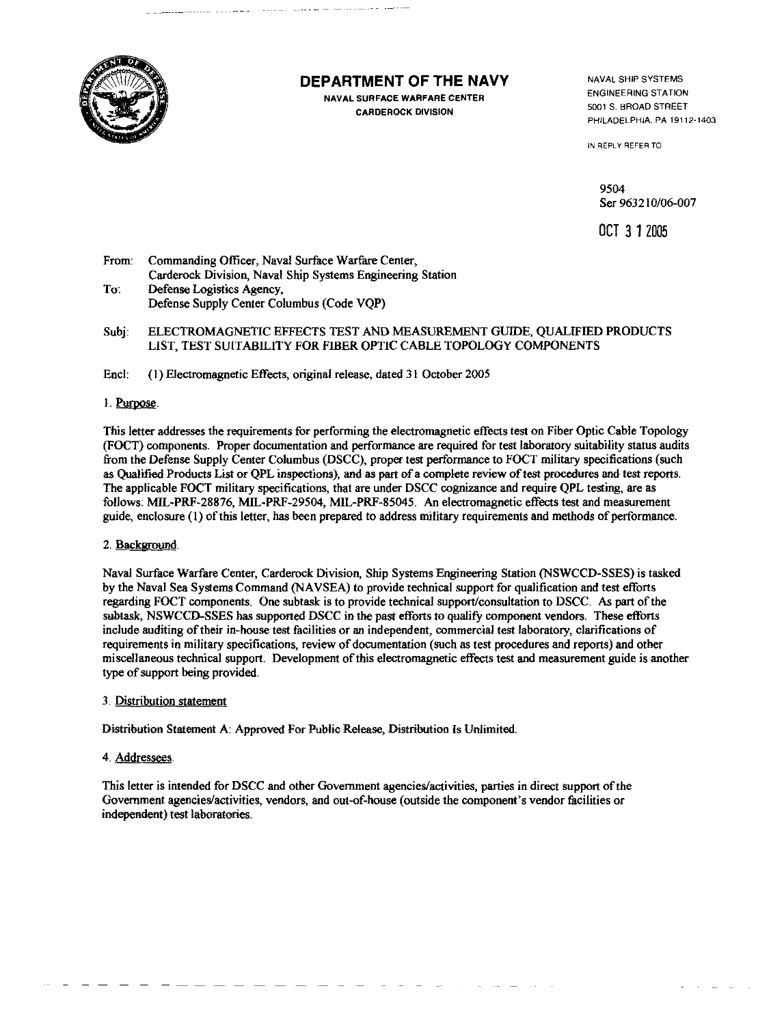

## DEPARTMENT OF THE NAVY

والمسارة والمتحدث للبارك للمحادث المتحدثان

**NAVAL SURFACE WARFARE CENTER CARDEROCK DIVISION** 

NAVAL SHIP SYSTEMS **ENGINEERING STATION** 5001 S. BROAD STREET PHILADELPHIA, PA 19112-1403

IN REPLY REFER TO

9504 Ser 963210/06-007

OCT 3 1 2005

- Commanding Officer, Naval Surface Warfare Center, From: Carderock Division, Naval Ship Systems Engineering Station To: Defense Logistics Agency, Defense Supply Center Columbus (Code VQP)
- Subi: ELECTROMAGNETIC EFFECTS TEST AND MEASUREMENT GUIDE, OUALIFIED PRODUCTS LIST, TEST SUITABILITY FOR FIBER OPTIC CABLE TOPOLOGY COMPONENTS
- Encl. (1) Electromagnetic Effects, original release, dated 31 October 2005

### 1. Purpose.

This letter addresses the requirements for performing the electromagnetic effects test on Fiber Optic Cable Topology (FOCT) components. Proper documentation and performance are required for test laboratory suitability status audits from the Defense Supply Center Columbus (DSCC), proper test performance to FOCT military specifications (such as Oualified Products List or OPL inspections), and as part of a complete review of test procedures and test reports. The applicable FOCT military specifications, that are under DSCC cognizance and require QPL testing, are as follows: MIL-PRF-28876, MIL-PRF-29504, MIL-PRF-85045. An electromagnetic effects test and measurement guide, enclosure (1) of this letter, has been prepared to address military requirements and methods of performance.

### 2. Background.

Naval Surface Warfare Center, Carderock Division, Ship Systems Engineering Station (NSWCCD-SSES) is tasked by the Naval Sea Systems Command (NAVSEA) to provide technical support for qualification and test efforts regarding FOCT components. One subtask is to provide technical support/consultation to DSCC. As part of the subtask, NSWCCD-SSES has supported DSCC in the past efforts to qualify component vendors. These efforts include auditing of their in-house test facilities or an independent, commercial test laboratory, clarifications of requirements in military specifications, review of documentation (such as test procedures and reports) and other miscellaneous technical support. Development of this electromagnetic effects test and measurement guide is another type of support being provided.

### 3. Distribution statement

Distribution Statement A: Approved For Public Release, Distribution Is Unlimited.

### 4. Addressees.

This letter is intended for DSCC and other Government agencies/activities, parties in direct support of the Government agencies/activities, vendors, and out-of-house (outside the component's vendor facilities or independent) test laboratories.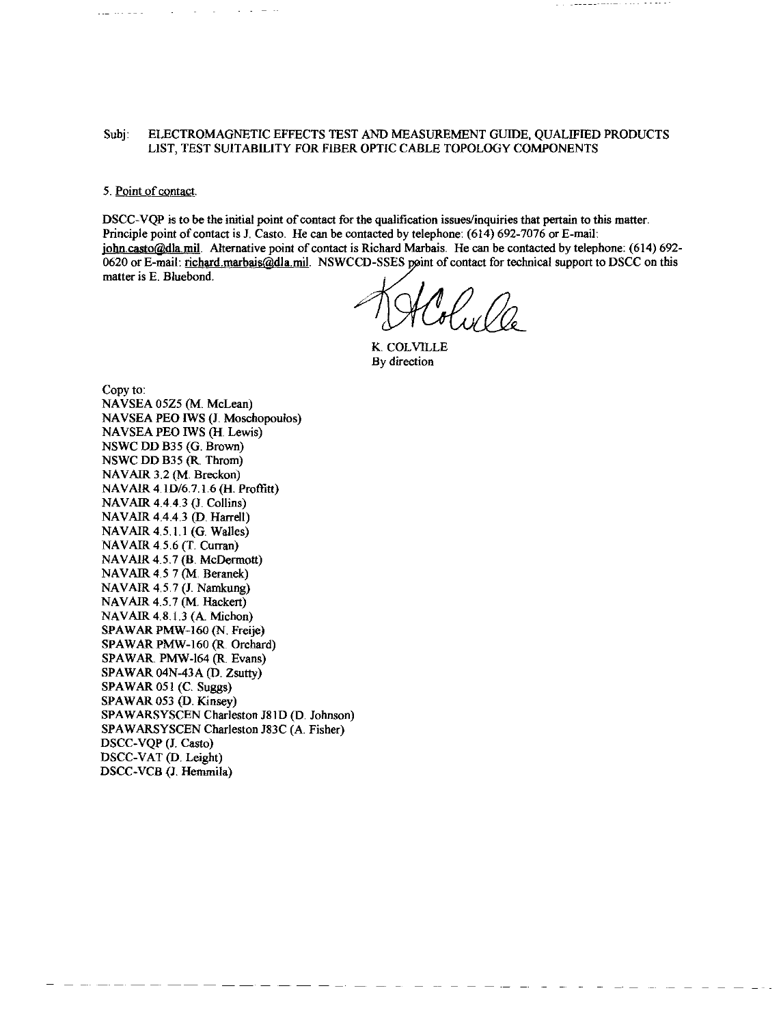#### Subj: ELECTROMAGNETIC EFFECTS TEST AND MEASUREMENT GUIDE, QUALIFIED PRODUCTS LIST, TEST SUITABILITY FOR FIBER OPTIC CABLE TOPOLOGY COMPONENTS

#### 5. Point of contact.

DSCC-VOP is to be the initial point of contact for the qualification issues/inquiries that pertain to this matter. Principle point of contact is J. Casto. He can be contacted by telephone: (614) 692-7076 or E-mail: john casto@dla mil. Alternative point of contact is Richard Marbais. He can be contacted by telephone: (614) 692-0620 or E-mail: richard marbais@dla.mil. NSWCCD-SSES point of contact for technical support to DSCC on this matter is E. Bluebond.

K. COLVILLE By direction

Copy to: NAVSEA 05Z5 (M. McLean) NAVSEA PEO IWS (J. Moschopoulos) NAVSEA PEO IWS (H. Lewis) NSWC DD B35 (G. Brown) NSWC DD B35 (R. Throm) NAVAIR 3.2 (M. Breckon) NAVAIR 4.1D/6.7.1.6 (H. Proffitt) NAVAIR 4.4.4.3 (J. Collins) NAVAIR 4.4.4.3 (D. Harrell) NAVAIR 4.5.1.1 (G. Walles) NAVAIR 4.5.6 (T. Curran) NAVAIR 4.5.7 (B. McDermott) NAVAIR 4.5 7 (M. Beranek) NAVAIR 4.5.7 (J. Namkung) NAVAIR 4.5.7 (M. Hackert) NAVAIR 4.8.1.3 (A. Michon) SPAWAR PMW-160 (N. Freije) SPAWAR PMW-160 (R. Orchard) SPAWAR. PMW-164 (R. Evans) SPAWAR 04N-43A (D. Zsutty) SPAWAR 051 (C. Suggs) SPAWAR 053 (D. Kinsey) SPAWARSYSCEN Charleston J81D (D. Johnson) SPAWARSYSCEN Charleston J83C (A. Fisher) DSCC-VQP (J. Casto) DSCC-VAT (D. Leight) DSCC-VCB (J. Hemmila)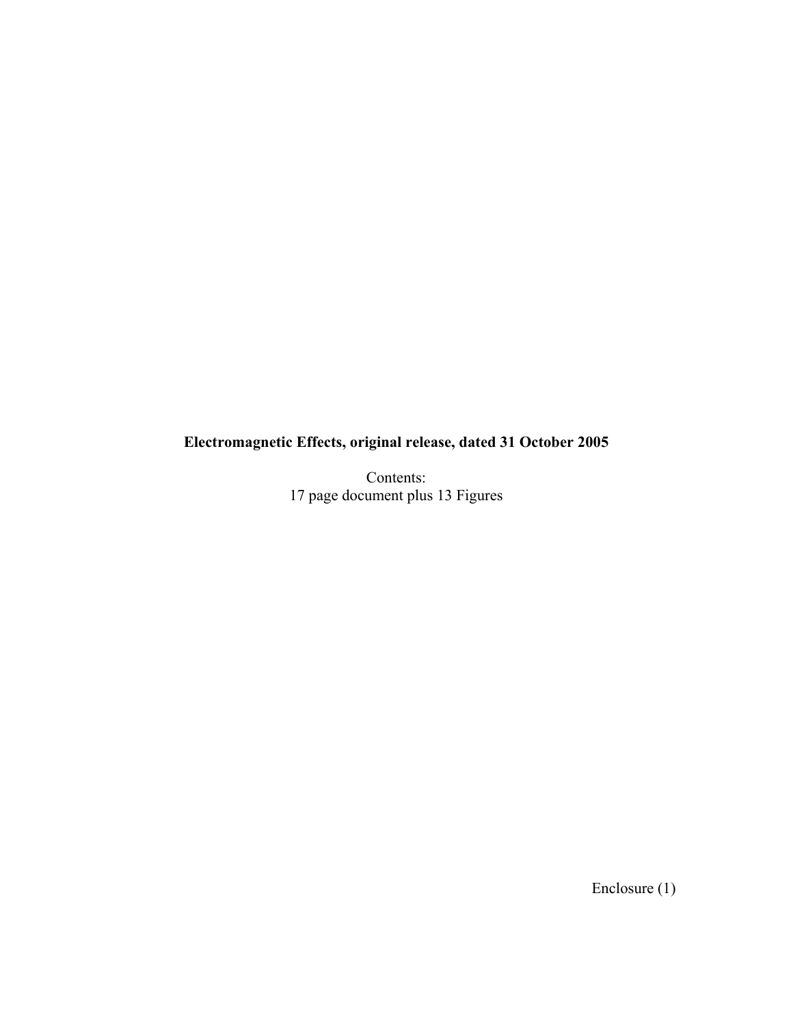# **Electromagnetic Effects, original release, dated 31 October 2005**

Contents: 17 page document plus 13 Figures

Enclosure (1)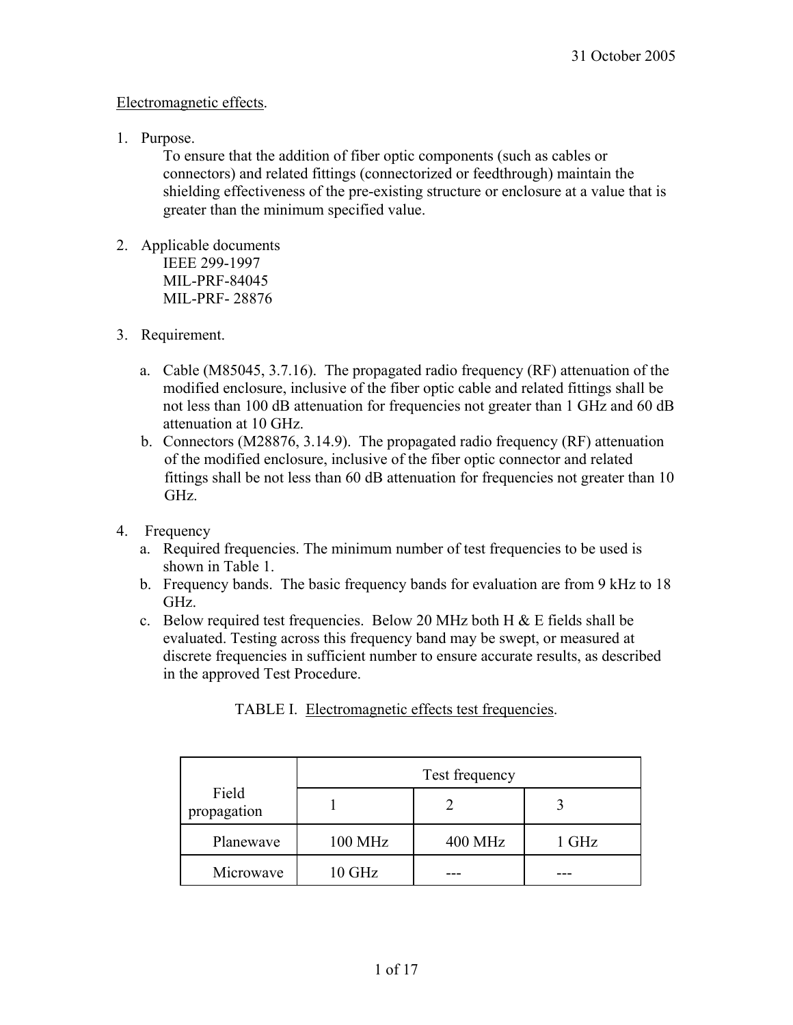### Electromagnetic effects.

1. Purpose.

To ensure that the addition of fiber optic components (such as cables or connectors) and related fittings (connectorized or feedthrough) maintain the shielding effectiveness of the pre-existing structure or enclosure at a value that is greater than the minimum specified value.

- 2. Applicable documents IEEE 299-1997 MIL-PRF-84045 MIL-PRF- 28876
- 3. Requirement.
	- a. Cable (M85045, 3.7.16). The propagated radio frequency (RF) attenuation of the modified enclosure, inclusive of the fiber optic cable and related fittings shall be not less than 100 dB attenuation for frequencies not greater than 1 GHz and 60 dB attenuation at 10 GHz.
	- b. Connectors (M28876, 3.14.9). The propagated radio frequency (RF) attenuation of the modified enclosure, inclusive of the fiber optic connector and related fittings shall be not less than 60 dB attenuation for frequencies not greater than 10 GHz.
- 4. Frequency
	- a. Required frequencies. The minimum number of test frequencies to be used is shown in Table 1.
	- b. Frequency bands. The basic frequency bands for evaluation are from 9 kHz to 18 GHz.
	- c. Below required test frequencies. Below 20 MHz both H  $\&$  E fields shall be evaluated. Testing across this frequency band may be swept, or measured at discrete frequencies in sufficient number to ensure accurate results, as described in the approved Test Procedure.

|                      | Test frequency |                |       |
|----------------------|----------------|----------------|-------|
| Field<br>propagation |                |                |       |
| Planewave            | <b>100 MHz</b> | <b>400 MHz</b> | 1 GHz |
| Microwave            | 10 GHz         |                |       |

TABLE I. Electromagnetic effects test frequencies.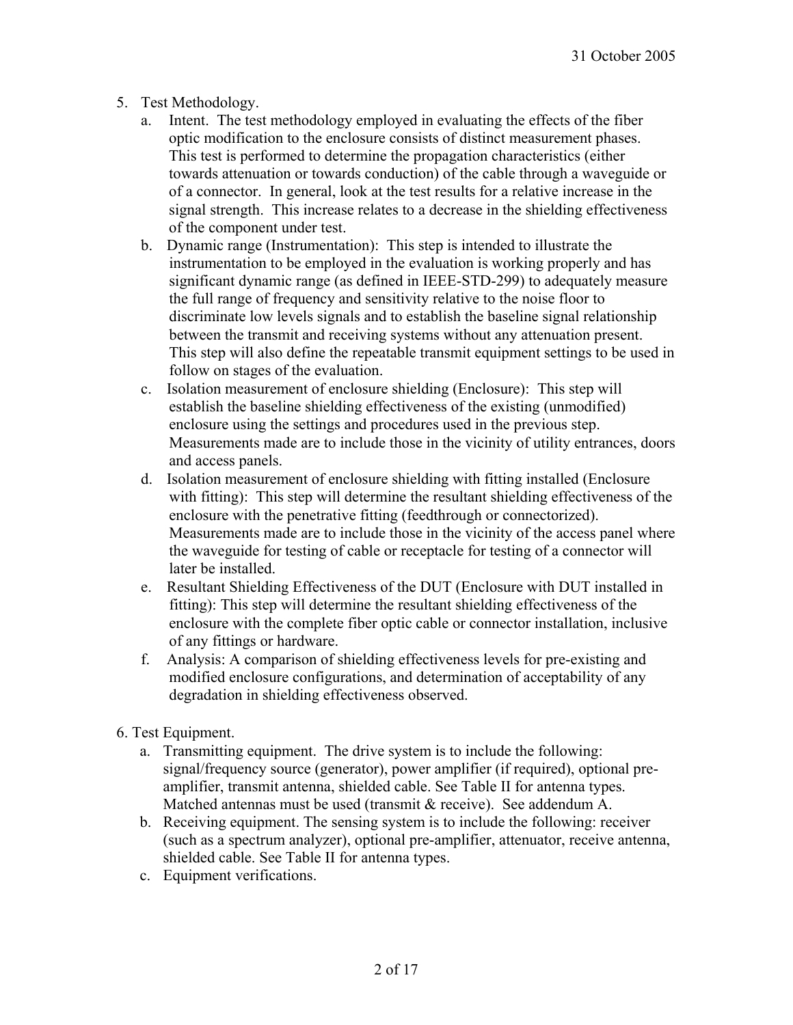- 5. Test Methodology.
	- a. Intent. The test methodology employed in evaluating the effects of the fiber optic modification to the enclosure consists of distinct measurement phases. This test is performed to determine the propagation characteristics (either towards attenuation or towards conduction) of the cable through a waveguide or of a connector. In general, look at the test results for a relative increase in the signal strength. This increase relates to a decrease in the shielding effectiveness of the component under test.
	- b. Dynamic range (Instrumentation): This step is intended to illustrate the instrumentation to be employed in the evaluation is working properly and has significant dynamic range (as defined in IEEE-STD-299) to adequately measure the full range of frequency and sensitivity relative to the noise floor to discriminate low levels signals and to establish the baseline signal relationship between the transmit and receiving systems without any attenuation present. This step will also define the repeatable transmit equipment settings to be used in follow on stages of the evaluation.
	- c. Isolation measurement of enclosure shielding (Enclosure): This step will establish the baseline shielding effectiveness of the existing (unmodified) enclosure using the settings and procedures used in the previous step. Measurements made are to include those in the vicinity of utility entrances, doors and access panels.
	- d. Isolation measurement of enclosure shielding with fitting installed (Enclosure with fitting): This step will determine the resultant shielding effectiveness of the enclosure with the penetrative fitting (feedthrough or connectorized). Measurements made are to include those in the vicinity of the access panel where the waveguide for testing of cable or receptacle for testing of a connector will later be installed.
	- e. Resultant Shielding Effectiveness of the DUT (Enclosure with DUT installed in fitting): This step will determine the resultant shielding effectiveness of the enclosure with the complete fiber optic cable or connector installation, inclusive of any fittings or hardware.
	- f. Analysis: A comparison of shielding effectiveness levels for pre-existing and modified enclosure configurations, and determination of acceptability of any degradation in shielding effectiveness observed.
- 6. Test Equipment.
	- a. Transmitting equipment. The drive system is to include the following: signal/frequency source (generator), power amplifier (if required), optional preamplifier, transmit antenna, shielded cable. See Table II for antenna types. Matched antennas must be used (transmit & receive). See addendum A.
	- b. Receiving equipment. The sensing system is to include the following: receiver (such as a spectrum analyzer), optional pre-amplifier, attenuator, receive antenna, shielded cable. See Table II for antenna types.
	- c. Equipment verifications.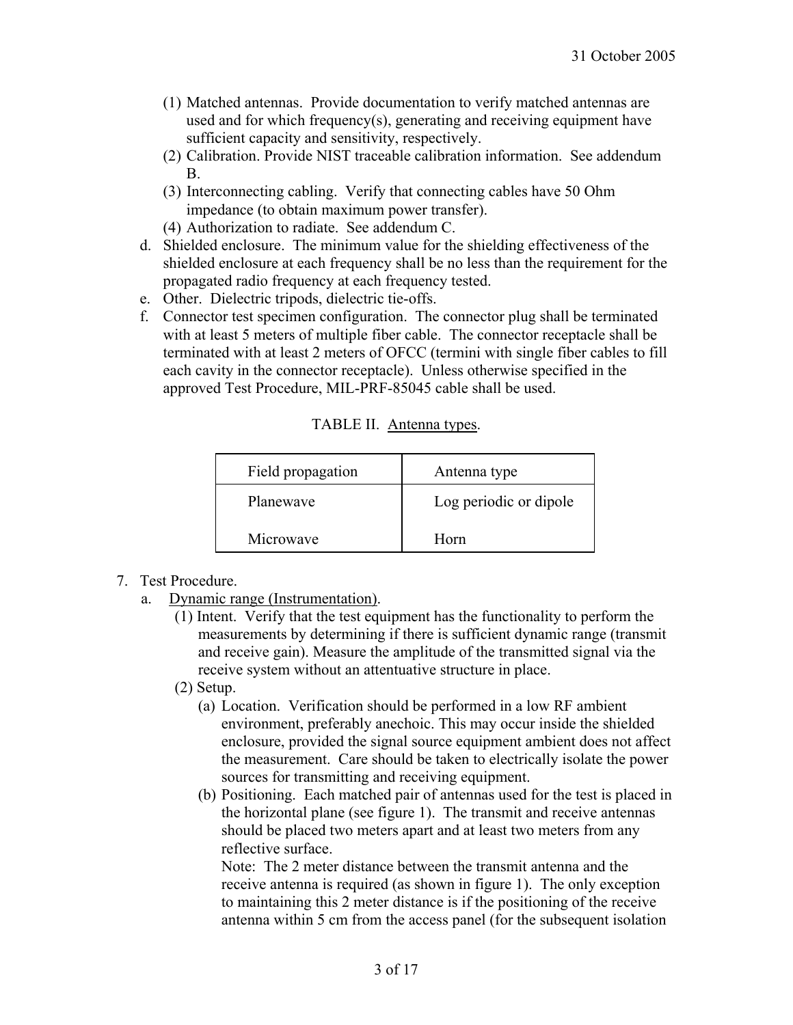- (1) Matched antennas. Provide documentation to verify matched antennas are used and for which frequency(s), generating and receiving equipment have sufficient capacity and sensitivity, respectively.
- (2) Calibration. Provide NIST traceable calibration information. See addendum B.
- (3) Interconnecting cabling. Verify that connecting cables have 50 Ohm impedance (to obtain maximum power transfer).
- (4) Authorization to radiate. See addendum C.
- d. Shielded enclosure. The minimum value for the shielding effectiveness of the shielded enclosure at each frequency shall be no less than the requirement for the propagated radio frequency at each frequency tested.
- e. Other. Dielectric tripods, dielectric tie-offs.
- f. Connector test specimen configuration. The connector plug shall be terminated with at least 5 meters of multiple fiber cable. The connector receptacle shall be terminated with at least 2 meters of OFCC (termini with single fiber cables to fill each cavity in the connector receptacle). Unless otherwise specified in the approved Test Procedure, MIL-PRF-85045 cable shall be used.

| TABLE II. Antenna types. |  |
|--------------------------|--|
|                          |  |

| Field propagation | Antenna type           |  |
|-------------------|------------------------|--|
| Planewaye         | Log periodic or dipole |  |
| Microwave         | Horn                   |  |

- 7. Test Procedure.
	- a. Dynamic range (Instrumentation).
		- (1) Intent. Verify that the test equipment has the functionality to perform the measurements by determining if there is sufficient dynamic range (transmit and receive gain). Measure the amplitude of the transmitted signal via the receive system without an attentuative structure in place.
		- (2) Setup.
			- (a) Location. Verification should be performed in a low RF ambient environment, preferably anechoic. This may occur inside the shielded enclosure, provided the signal source equipment ambient does not affect the measurement. Care should be taken to electrically isolate the power sources for transmitting and receiving equipment.
			- (b) Positioning. Each matched pair of antennas used for the test is placed in the horizontal plane (see figure 1). The transmit and receive antennas should be placed two meters apart and at least two meters from any reflective surface.

Note: The 2 meter distance between the transmit antenna and the receive antenna is required (as shown in figure 1). The only exception to maintaining this 2 meter distance is if the positioning of the receive antenna within 5 cm from the access panel (for the subsequent isolation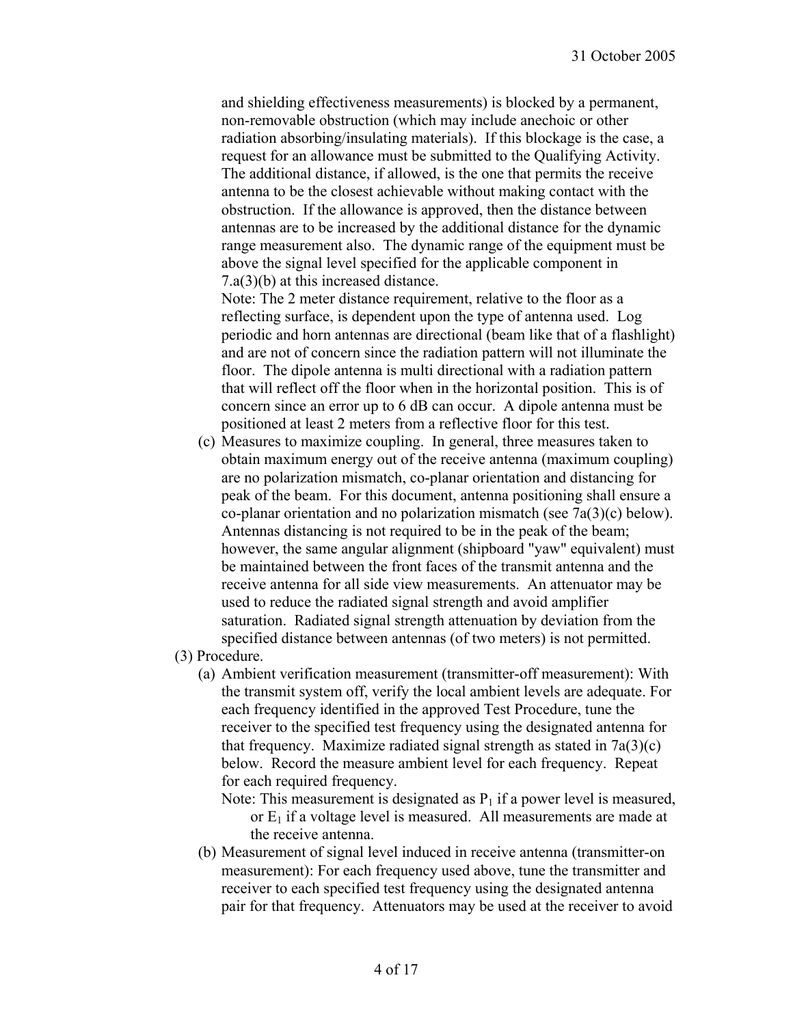and shielding effectiveness measurements) is blocked by a permanent, non-removable obstruction (which may include anechoic or other radiation absorbing/insulating materials). If this blockage is the case, a request for an allowance must be submitted to the Qualifying Activity. The additional distance, if allowed, is the one that permits the receive antenna to be the closest achievable without making contact with the obstruction. If the allowance is approved, then the distance between antennas are to be increased by the additional distance for the dynamic range measurement also. The dynamic range of the equipment must be above the signal level specified for the applicable component in 7.a(3)(b) at this increased distance.

Note: The 2 meter distance requirement, relative to the floor as a reflecting surface, is dependent upon the type of antenna used. Log periodic and horn antennas are directional (beam like that of a flashlight) and are not of concern since the radiation pattern will not illuminate the floor. The dipole antenna is multi directional with a radiation pattern that will reflect off the floor when in the horizontal position. This is of concern since an error up to 6 dB can occur. A dipole antenna must be positioned at least 2 meters from a reflective floor for this test.

- (c) Measures to maximize coupling. In general, three measures taken to obtain maximum energy out of the receive antenna (maximum coupling) are no polarization mismatch, co-planar orientation and distancing for peak of the beam. For this document, antenna positioning shall ensure a co-planar orientation and no polarization mismatch (see 7a(3)(c) below). Antennas distancing is not required to be in the peak of the beam; however, the same angular alignment (shipboard "yaw" equivalent) must be maintained between the front faces of the transmit antenna and the receive antenna for all side view measurements. An attenuator may be used to reduce the radiated signal strength and avoid amplifier saturation. Radiated signal strength attenuation by deviation from the specified distance between antennas (of two meters) is not permitted.
- (3) Procedure.
	- (a) Ambient verification measurement (transmitter-off measurement): With the transmit system off, verify the local ambient levels are adequate. For each frequency identified in the approved Test Procedure, tune the receiver to the specified test frequency using the designated antenna for that frequency. Maximize radiated signal strength as stated in  $7a(3)(c)$ below. Record the measure ambient level for each frequency. Repeat for each required frequency.
		- Note: This measurement is designated as  $P_1$  if a power level is measured, or  $E_1$  if a voltage level is measured. All measurements are made at the receive antenna.
	- (b) Measurement of signal level induced in receive antenna (transmitter-on measurement): For each frequency used above, tune the transmitter and receiver to each specified test frequency using the designated antenna pair for that frequency. Attenuators may be used at the receiver to avoid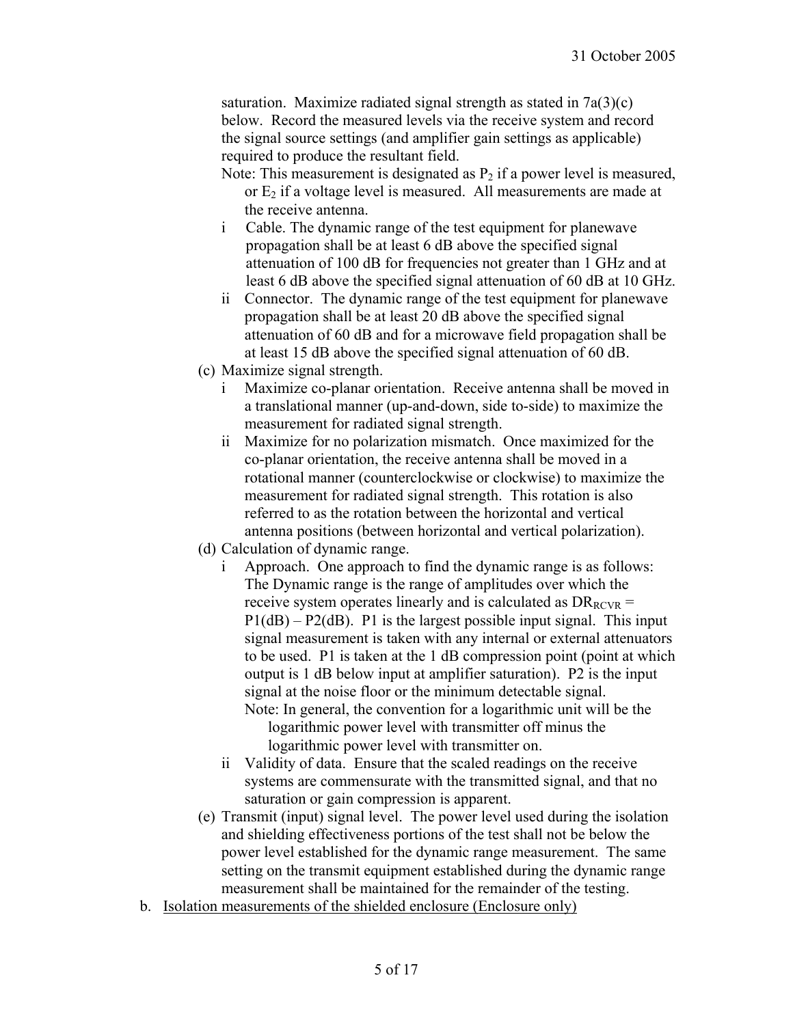saturation. Maximize radiated signal strength as stated in  $7a(3)(c)$ below. Record the measured levels via the receive system and record the signal source settings (and amplifier gain settings as applicable) required to produce the resultant field.

- Note: This measurement is designated as  $P<sub>2</sub>$  if a power level is measured, or  $E_2$  if a voltage level is measured. All measurements are made at the receive antenna.
- i Cable. The dynamic range of the test equipment for planewave propagation shall be at least 6 dB above the specified signal attenuation of 100 dB for frequencies not greater than 1 GHz and at least 6 dB above the specified signal attenuation of 60 dB at 10 GHz.
- ii Connector. The dynamic range of the test equipment for planewave propagation shall be at least 20 dB above the specified signal attenuation of 60 dB and for a microwave field propagation shall be at least 15 dB above the specified signal attenuation of 60 dB.
- (c) Maximize signal strength.
	- i Maximize co-planar orientation. Receive antenna shall be moved in a translational manner (up-and-down, side to-side) to maximize the measurement for radiated signal strength.
	- ii Maximize for no polarization mismatch. Once maximized for the co-planar orientation, the receive antenna shall be moved in a rotational manner (counterclockwise or clockwise) to maximize the measurement for radiated signal strength. This rotation is also referred to as the rotation between the horizontal and vertical antenna positions (between horizontal and vertical polarization).
- (d) Calculation of dynamic range.
	- i Approach. One approach to find the dynamic range is as follows: The Dynamic range is the range of amplitudes over which the receive system operates linearly and is calculated as  $DR_{RCVR}$  =  $P1(dB) - P2(dB)$ . P1 is the largest possible input signal. This input signal measurement is taken with any internal or external attenuators to be used. P1 is taken at the 1 dB compression point (point at which output is 1 dB below input at amplifier saturation). P2 is the input signal at the noise floor or the minimum detectable signal. Note: In general, the convention for a logarithmic unit will be the
		- logarithmic power level with transmitter off minus the logarithmic power level with transmitter on.
	- ii Validity of data. Ensure that the scaled readings on the receive systems are commensurate with the transmitted signal, and that no saturation or gain compression is apparent.
- (e) Transmit (input) signal level. The power level used during the isolation and shielding effectiveness portions of the test shall not be below the power level established for the dynamic range measurement. The same setting on the transmit equipment established during the dynamic range measurement shall be maintained for the remainder of the testing.
- b. Isolation measurements of the shielded enclosure (Enclosure only)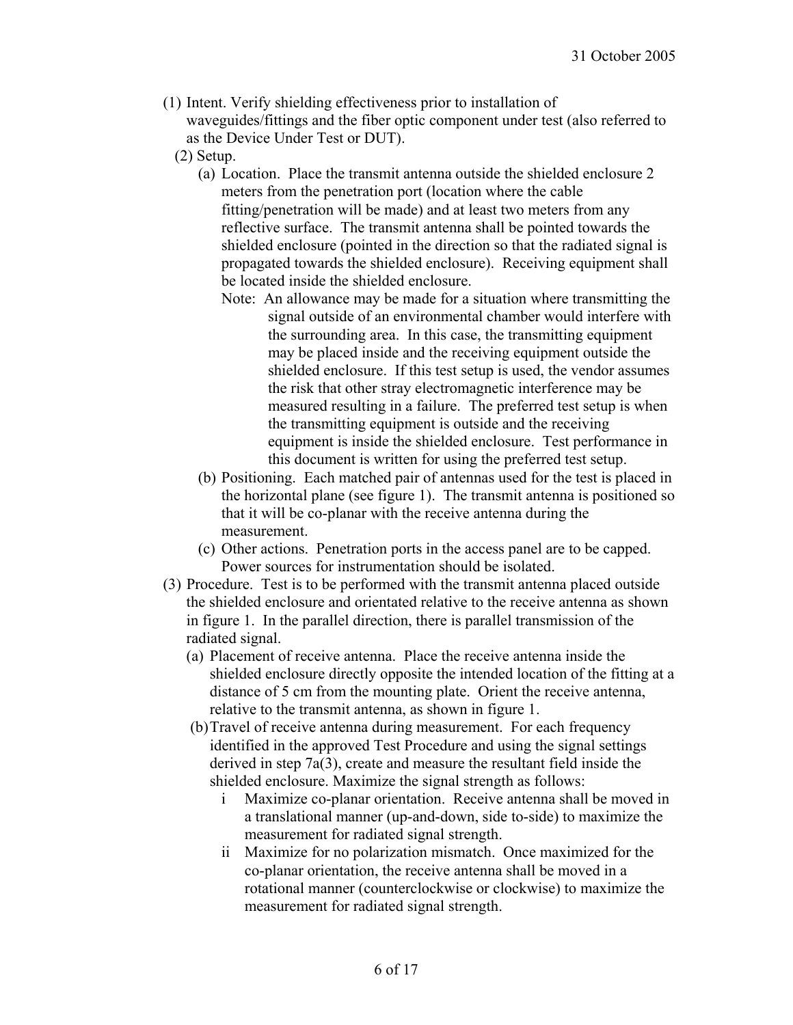- (1) Intent. Verify shielding effectiveness prior to installation of waveguides/fittings and the fiber optic component under test (also referred to as the Device Under Test or DUT).
	- (2) Setup.
		- (a) Location. Place the transmit antenna outside the shielded enclosure 2 meters from the penetration port (location where the cable fitting/penetration will be made) and at least two meters from any reflective surface. The transmit antenna shall be pointed towards the shielded enclosure (pointed in the direction so that the radiated signal is propagated towards the shielded enclosure). Receiving equipment shall be located inside the shielded enclosure.
			- Note: An allowance may be made for a situation where transmitting the signal outside of an environmental chamber would interfere with the surrounding area. In this case, the transmitting equipment may be placed inside and the receiving equipment outside the shielded enclosure. If this test setup is used, the vendor assumes the risk that other stray electromagnetic interference may be measured resulting in a failure. The preferred test setup is when the transmitting equipment is outside and the receiving equipment is inside the shielded enclosure. Test performance in this document is written for using the preferred test setup.
		- (b) Positioning. Each matched pair of antennas used for the test is placed in the horizontal plane (see figure 1). The transmit antenna is positioned so that it will be co-planar with the receive antenna during the measurement.
		- (c) Other actions. Penetration ports in the access panel are to be capped. Power sources for instrumentation should be isolated.
- (3) Procedure. Test is to be performed with the transmit antenna placed outside the shielded enclosure and orientated relative to the receive antenna as shown in figure 1. In the parallel direction, there is parallel transmission of the radiated signal.
	- (a) Placement of receive antenna. Place the receive antenna inside the shielded enclosure directly opposite the intended location of the fitting at a distance of 5 cm from the mounting plate. Orient the receive antenna, relative to the transmit antenna, as shown in figure 1.
	- (b) Travel of receive antenna during measurement. For each frequency identified in the approved Test Procedure and using the signal settings derived in step 7a(3), create and measure the resultant field inside the shielded enclosure. Maximize the signal strength as follows:
		- i Maximize co-planar orientation. Receive antenna shall be moved in a translational manner (up-and-down, side to-side) to maximize the measurement for radiated signal strength.
		- ii Maximize for no polarization mismatch. Once maximized for the co-planar orientation, the receive antenna shall be moved in a rotational manner (counterclockwise or clockwise) to maximize the measurement for radiated signal strength.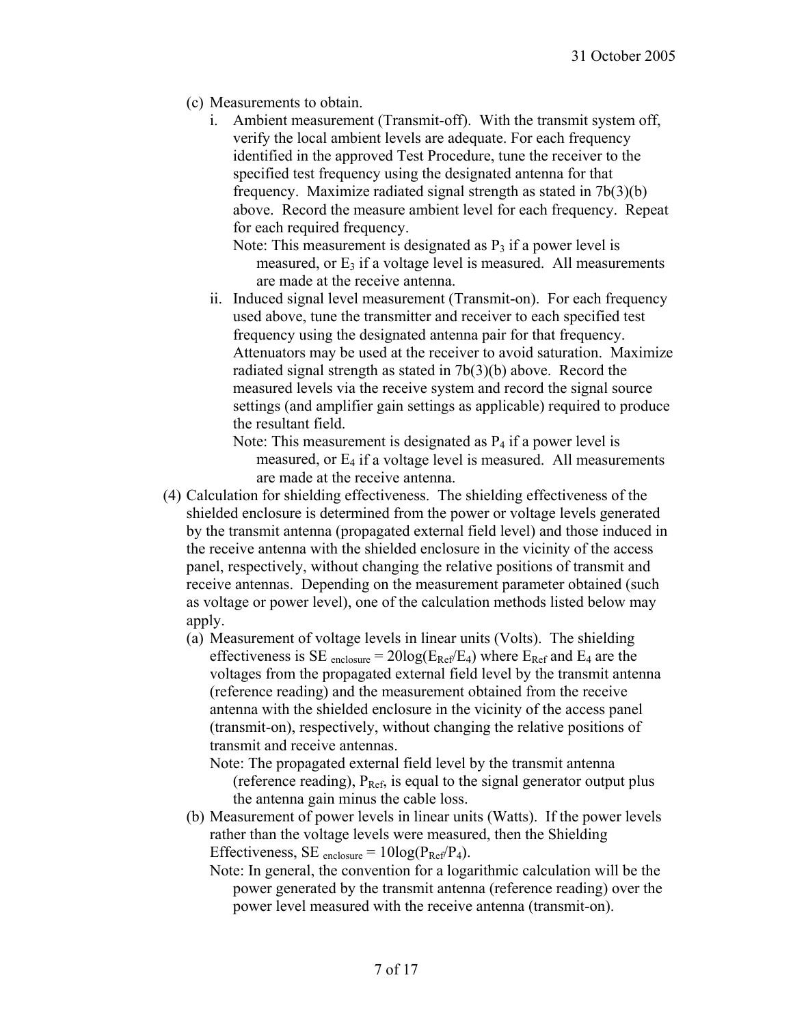- (c) Measurements to obtain.
	- i. Ambient measurement (Transmit-off). With the transmit system off, verify the local ambient levels are adequate. For each frequency identified in the approved Test Procedure, tune the receiver to the specified test frequency using the designated antenna for that frequency. Maximize radiated signal strength as stated in 7b(3)(b) above. Record the measure ambient level for each frequency. Repeat for each required frequency.

Note: This measurement is designated as  $P_3$  if a power level is measured, or  $E_3$  if a voltage level is measured. All measurements are made at the receive antenna.

ii. Induced signal level measurement (Transmit-on). For each frequency used above, tune the transmitter and receiver to each specified test frequency using the designated antenna pair for that frequency. Attenuators may be used at the receiver to avoid saturation. Maximize radiated signal strength as stated in 7b(3)(b) above. Record the measured levels via the receive system and record the signal source settings (and amplifier gain settings as applicable) required to produce the resultant field.

Note: This measurement is designated as  $P_4$  if a power level is measured, or  $E_4$  if a voltage level is measured. All measurements are made at the receive antenna.

- (4) Calculation for shielding effectiveness. The shielding effectiveness of the shielded enclosure is determined from the power or voltage levels generated by the transmit antenna (propagated external field level) and those induced in the receive antenna with the shielded enclosure in the vicinity of the access panel, respectively, without changing the relative positions of transmit and receive antennas. Depending on the measurement parameter obtained (such as voltage or power level), one of the calculation methods listed below may apply.
	- (a) Measurement of voltage levels in linear units (Volts). The shielding effectiveness is SE <sub>enclosure</sub> =  $20\log(E_{\text{Ref}}/E_4)$  where  $E_{\text{Ref}}$  and  $E_4$  are the voltages from the propagated external field level by the transmit antenna (reference reading) and the measurement obtained from the receive antenna with the shielded enclosure in the vicinity of the access panel (transmit-on), respectively, without changing the relative positions of transmit and receive antennas.

Note: The propagated external field level by the transmit antenna (reference reading),  $P_{Ref}$ , is equal to the signal generator output plus the antenna gain minus the cable loss.

- (b) Measurement of power levels in linear units (Watts). If the power levels rather than the voltage levels were measured, then the Shielding Effectiveness, SE <sub>enclosure</sub> =  $10\log(P_{Ref}/P_4)$ .
	- Note: In general, the convention for a logarithmic calculation will be the power generated by the transmit antenna (reference reading) over the power level measured with the receive antenna (transmit-on).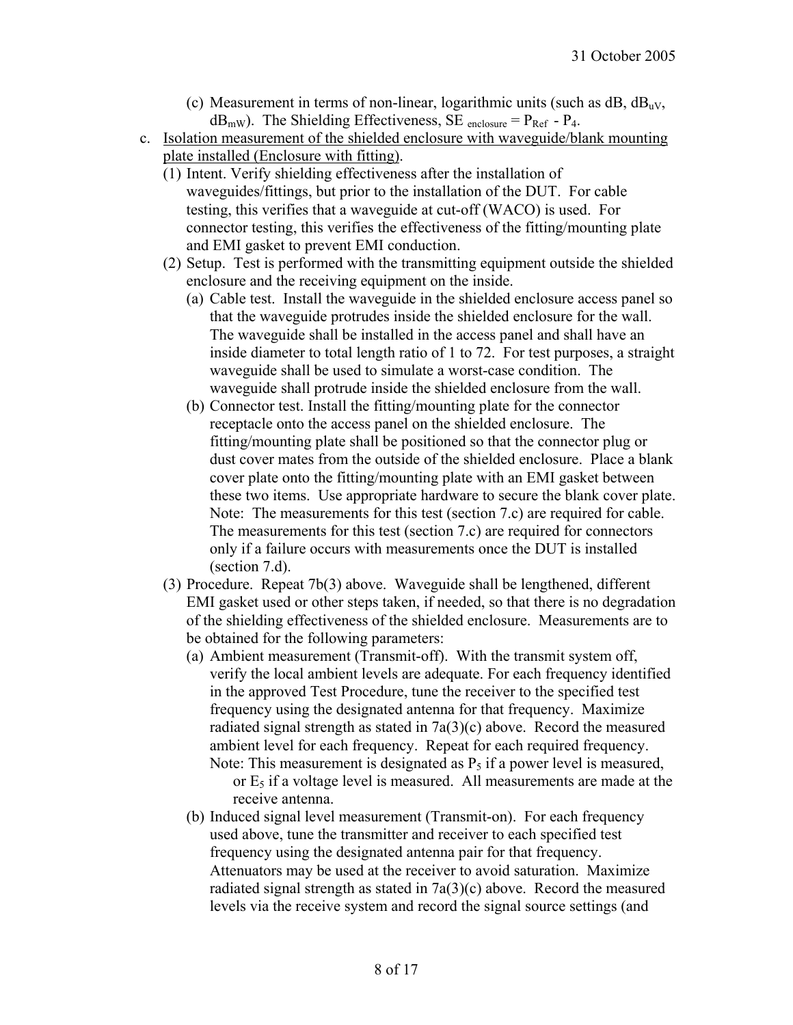- (c) Measurement in terms of non-linear, logarithmic units (such as  $dB_0$ ,  $dB_{uv}$ ,  $dB<sub>mW</sub>$ ). The Shielding Effectiveness, SE <sub>enclosure</sub> =  $P<sub>Ref</sub>$  -  $P<sub>4</sub>$ .
- c. Isolation measurement of the shielded enclosure with waveguide/blank mounting plate installed (Enclosure with fitting).
	- (1) Intent. Verify shielding effectiveness after the installation of waveguides/fittings, but prior to the installation of the DUT. For cable testing, this verifies that a waveguide at cut-off (WACO) is used. For connector testing, this verifies the effectiveness of the fitting/mounting plate and EMI gasket to prevent EMI conduction.
	- (2) Setup. Test is performed with the transmitting equipment outside the shielded enclosure and the receiving equipment on the inside.
		- (a) Cable test. Install the waveguide in the shielded enclosure access panel so that the waveguide protrudes inside the shielded enclosure for the wall. The waveguide shall be installed in the access panel and shall have an inside diameter to total length ratio of 1 to 72. For test purposes, a straight waveguide shall be used to simulate a worst-case condition. The waveguide shall protrude inside the shielded enclosure from the wall.
		- (b) Connector test. Install the fitting/mounting plate for the connector receptacle onto the access panel on the shielded enclosure. The fitting/mounting plate shall be positioned so that the connector plug or dust cover mates from the outside of the shielded enclosure. Place a blank cover plate onto the fitting/mounting plate with an EMI gasket between these two items. Use appropriate hardware to secure the blank cover plate. Note: The measurements for this test (section 7.c) are required for cable. The measurements for this test (section 7.c) are required for connectors only if a failure occurs with measurements once the DUT is installed (section 7.d).
	- (3) Procedure. Repeat 7b(3) above. Waveguide shall be lengthened, different EMI gasket used or other steps taken, if needed, so that there is no degradation of the shielding effectiveness of the shielded enclosure. Measurements are to be obtained for the following parameters:
		- (a) Ambient measurement (Transmit-off). With the transmit system off, verify the local ambient levels are adequate. For each frequency identified in the approved Test Procedure, tune the receiver to the specified test frequency using the designated antenna for that frequency. Maximize radiated signal strength as stated in 7a(3)(c) above. Record the measured ambient level for each frequency. Repeat for each required frequency. Note: This measurement is designated as  $P_5$  if a power level is measured, or  $E_5$  if a voltage level is measured. All measurements are made at the receive antenna.
		- (b) Induced signal level measurement (Transmit-on). For each frequency used above, tune the transmitter and receiver to each specified test frequency using the designated antenna pair for that frequency. Attenuators may be used at the receiver to avoid saturation. Maximize radiated signal strength as stated in 7a(3)(c) above. Record the measured levels via the receive system and record the signal source settings (and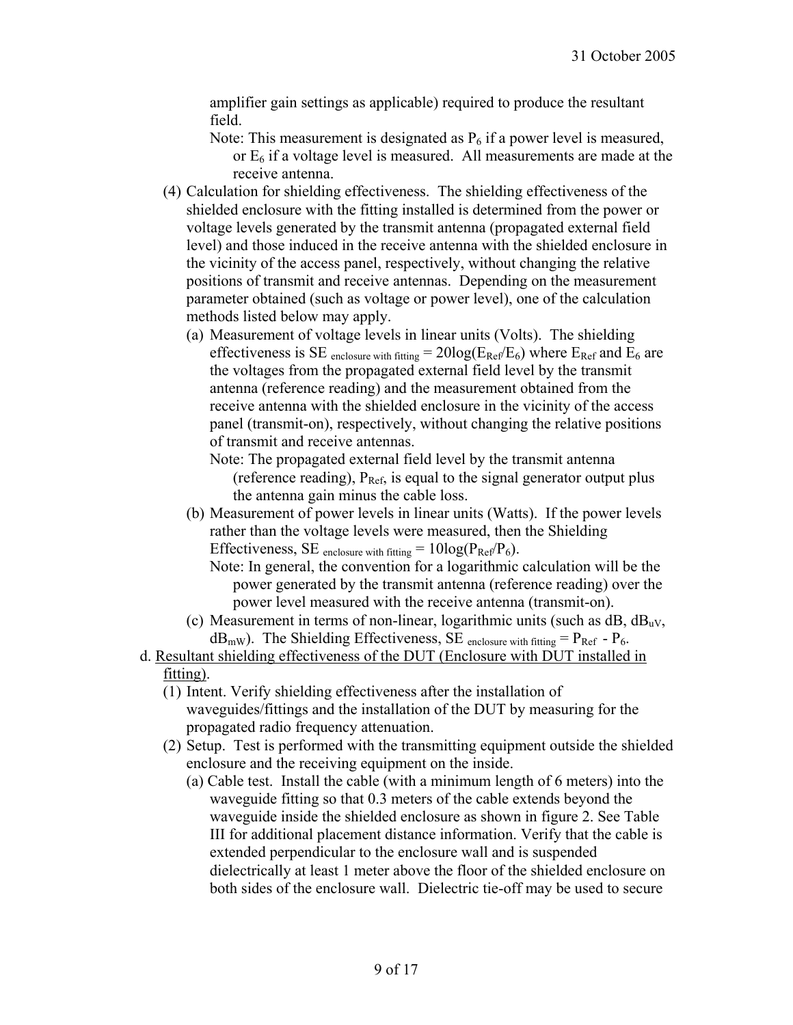amplifier gain settings as applicable) required to produce the resultant field.

- Note: This measurement is designated as  $P_6$  if a power level is measured, or  $E_6$  if a voltage level is measured. All measurements are made at the receive antenna.
- (4) Calculation for shielding effectiveness. The shielding effectiveness of the shielded enclosure with the fitting installed is determined from the power or voltage levels generated by the transmit antenna (propagated external field level) and those induced in the receive antenna with the shielded enclosure in the vicinity of the access panel, respectively, without changing the relative positions of transmit and receive antennas. Depending on the measurement parameter obtained (such as voltage or power level), one of the calculation methods listed below may apply.
	- (a) Measurement of voltage levels in linear units (Volts). The shielding effectiveness is SE <sub>enclosure with fitting</sub> =  $20\log(E_{\text{Ref}}/E_6)$  where  $E_{\text{Ref}}$  and  $E_6$  are the voltages from the propagated external field level by the transmit antenna (reference reading) and the measurement obtained from the receive antenna with the shielded enclosure in the vicinity of the access panel (transmit-on), respectively, without changing the relative positions of transmit and receive antennas.
		- Note: The propagated external field level by the transmit antenna (reference reading),  $P_{Ref}$ , is equal to the signal generator output plus the antenna gain minus the cable loss.
	- (b) Measurement of power levels in linear units (Watts). If the power levels rather than the voltage levels were measured, then the Shielding Effectiveness, SE enclosure with fitting  $= 10 \log(P_{\text{Ref}}/P_6)$ .
		- Note: In general, the convention for a logarithmic calculation will be the power generated by the transmit antenna (reference reading) over the power level measured with the receive antenna (transmit-on).
	- (c) Measurement in terms of non-linear, logarithmic units (such as  $dB$ ,  $dB_{uv}$ ,  $dB<sub>mW</sub>$ ). The Shielding Effectiveness, SE enclosure with fitting =  $P<sub>Ref</sub>$  -  $P<sub>6</sub>$ .
- d. Resultant shielding effectiveness of the DUT (Enclosure with DUT installed in fitting).
	- (1) Intent. Verify shielding effectiveness after the installation of waveguides/fittings and the installation of the DUT by measuring for the propagated radio frequency attenuation.
	- (2) Setup. Test is performed with the transmitting equipment outside the shielded enclosure and the receiving equipment on the inside.
		- (a) Cable test. Install the cable (with a minimum length of 6 meters) into the waveguide fitting so that 0.3 meters of the cable extends beyond the waveguide inside the shielded enclosure as shown in figure 2. See Table III for additional placement distance information. Verify that the cable is extended perpendicular to the enclosure wall and is suspended dielectrically at least 1 meter above the floor of the shielded enclosure on both sides of the enclosure wall. Dielectric tie-off may be used to secure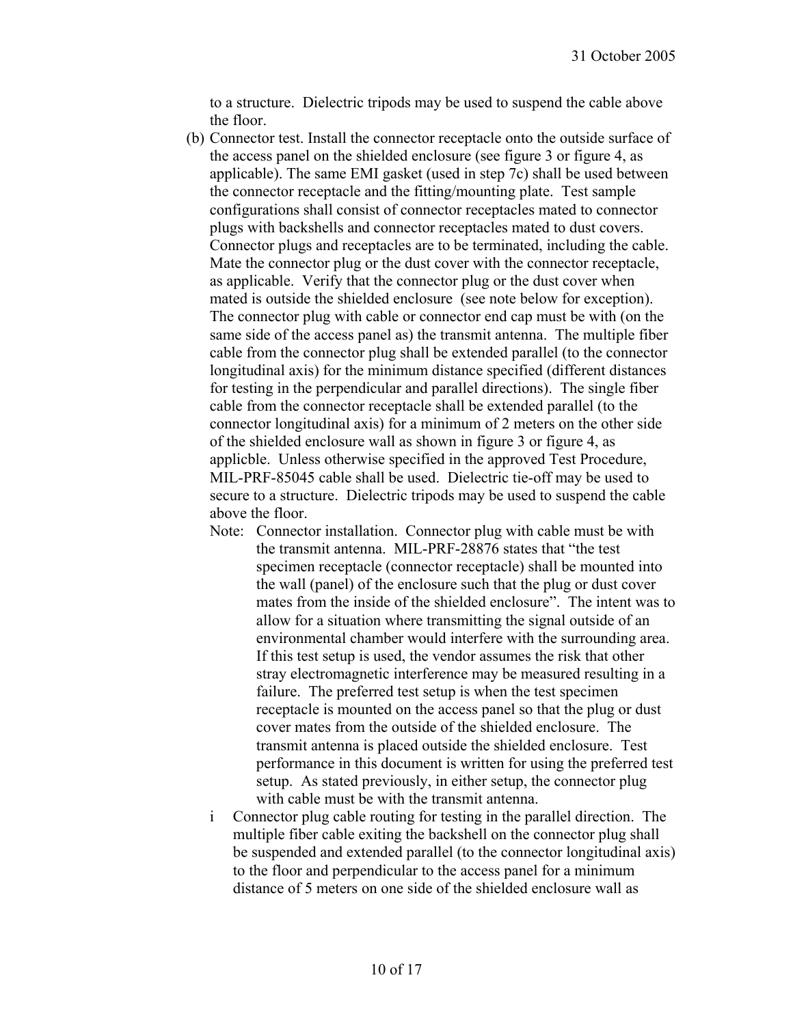to a structure. Dielectric tripods may be used to suspend the cable above the floor.

- (b) Connector test. Install the connector receptacle onto the outside surface of the access panel on the shielded enclosure (see figure 3 or figure 4, as applicable). The same EMI gasket (used in step 7c) shall be used between the connector receptacle and the fitting/mounting plate. Test sample configurations shall consist of connector receptacles mated to connector plugs with backshells and connector receptacles mated to dust covers. Connector plugs and receptacles are to be terminated, including the cable. Mate the connector plug or the dust cover with the connector receptacle, as applicable. Verify that the connector plug or the dust cover when mated is outside the shielded enclosure (see note below for exception). The connector plug with cable or connector end cap must be with (on the same side of the access panel as) the transmit antenna. The multiple fiber cable from the connector plug shall be extended parallel (to the connector longitudinal axis) for the minimum distance specified (different distances for testing in the perpendicular and parallel directions). The single fiber cable from the connector receptacle shall be extended parallel (to the connector longitudinal axis) for a minimum of 2 meters on the other side of the shielded enclosure wall as shown in figure 3 or figure 4, as applicble. Unless otherwise specified in the approved Test Procedure, MIL-PRF-85045 cable shall be used. Dielectric tie-off may be used to secure to a structure. Dielectric tripods may be used to suspend the cable above the floor.
	- Note: Connector installation. Connector plug with cable must be with the transmit antenna. MIL-PRF-28876 states that "the test specimen receptacle (connector receptacle) shall be mounted into the wall (panel) of the enclosure such that the plug or dust cover mates from the inside of the shielded enclosure". The intent was to allow for a situation where transmitting the signal outside of an environmental chamber would interfere with the surrounding area. If this test setup is used, the vendor assumes the risk that other stray electromagnetic interference may be measured resulting in a failure. The preferred test setup is when the test specimen receptacle is mounted on the access panel so that the plug or dust cover mates from the outside of the shielded enclosure. The transmit antenna is placed outside the shielded enclosure. Test performance in this document is written for using the preferred test setup. As stated previously, in either setup, the connector plug with cable must be with the transmit antenna.
	- i Connector plug cable routing for testing in the parallel direction. The multiple fiber cable exiting the backshell on the connector plug shall be suspended and extended parallel (to the connector longitudinal axis) to the floor and perpendicular to the access panel for a minimum distance of 5 meters on one side of the shielded enclosure wall as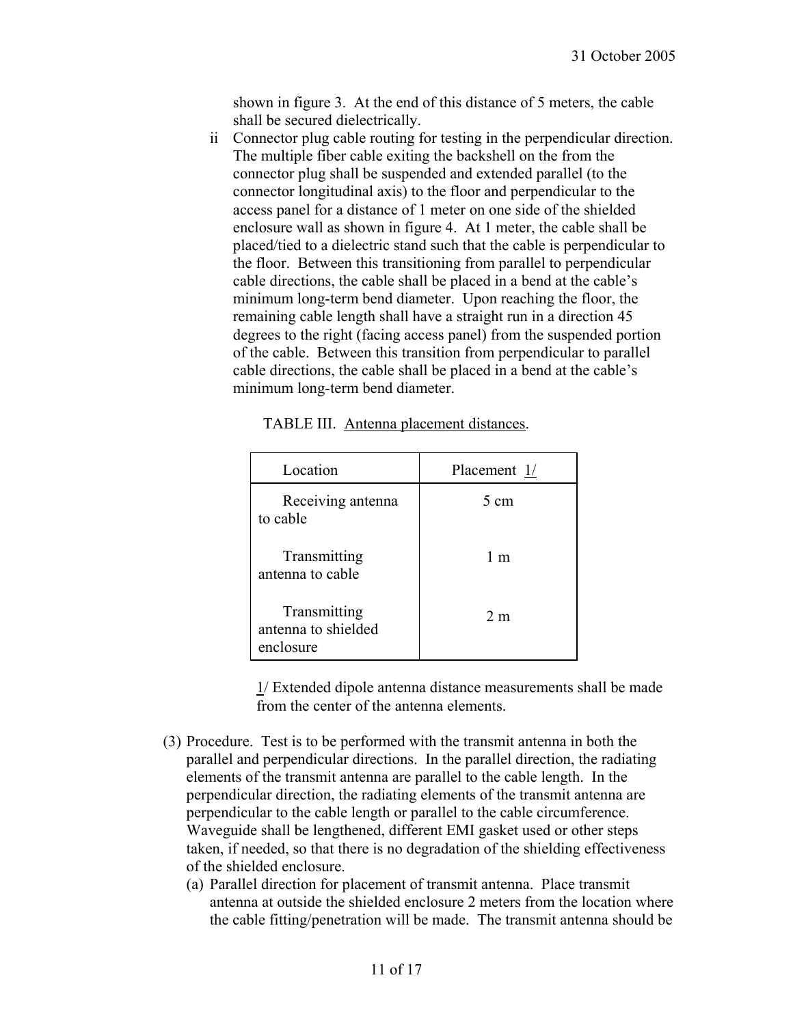shown in figure 3. At the end of this distance of 5 meters, the cable shall be secured dielectrically.

ii Connector plug cable routing for testing in the perpendicular direction. The multiple fiber cable exiting the backshell on the from the connector plug shall be suspended and extended parallel (to the connector longitudinal axis) to the floor and perpendicular to the access panel for a distance of 1 meter on one side of the shielded enclosure wall as shown in figure 4. At 1 meter, the cable shall be placed/tied to a dielectric stand such that the cable is perpendicular to the floor. Between this transitioning from parallel to perpendicular cable directions, the cable shall be placed in a bend at the cable's minimum long-term bend diameter. Upon reaching the floor, the remaining cable length shall have a straight run in a direction 45 degrees to the right (facing access panel) from the suspended portion of the cable. Between this transition from perpendicular to parallel cable directions, the cable shall be placed in a bend at the cable's minimum long-term bend diameter.

| Location                                         | Placement 1/   |  |
|--------------------------------------------------|----------------|--|
| Receiving antenna<br>to cable                    | 5 cm           |  |
| Transmitting<br>antenna to cable                 | 1 m            |  |
| Transmitting<br>antenna to shielded<br>enclosure | 2 <sub>m</sub> |  |

| TABLE III. Antenna placement distances. |  |  |
|-----------------------------------------|--|--|
|                                         |  |  |

1/ Extended dipole antenna distance measurements shall be made from the center of the antenna elements.

- (3) Procedure. Test is to be performed with the transmit antenna in both the parallel and perpendicular directions. In the parallel direction, the radiating elements of the transmit antenna are parallel to the cable length. In the perpendicular direction, the radiating elements of the transmit antenna are perpendicular to the cable length or parallel to the cable circumference. Waveguide shall be lengthened, different EMI gasket used or other steps taken, if needed, so that there is no degradation of the shielding effectiveness of the shielded enclosure.
	- (a) Parallel direction for placement of transmit antenna. Place transmit antenna at outside the shielded enclosure 2 meters from the location where the cable fitting/penetration will be made. The transmit antenna should be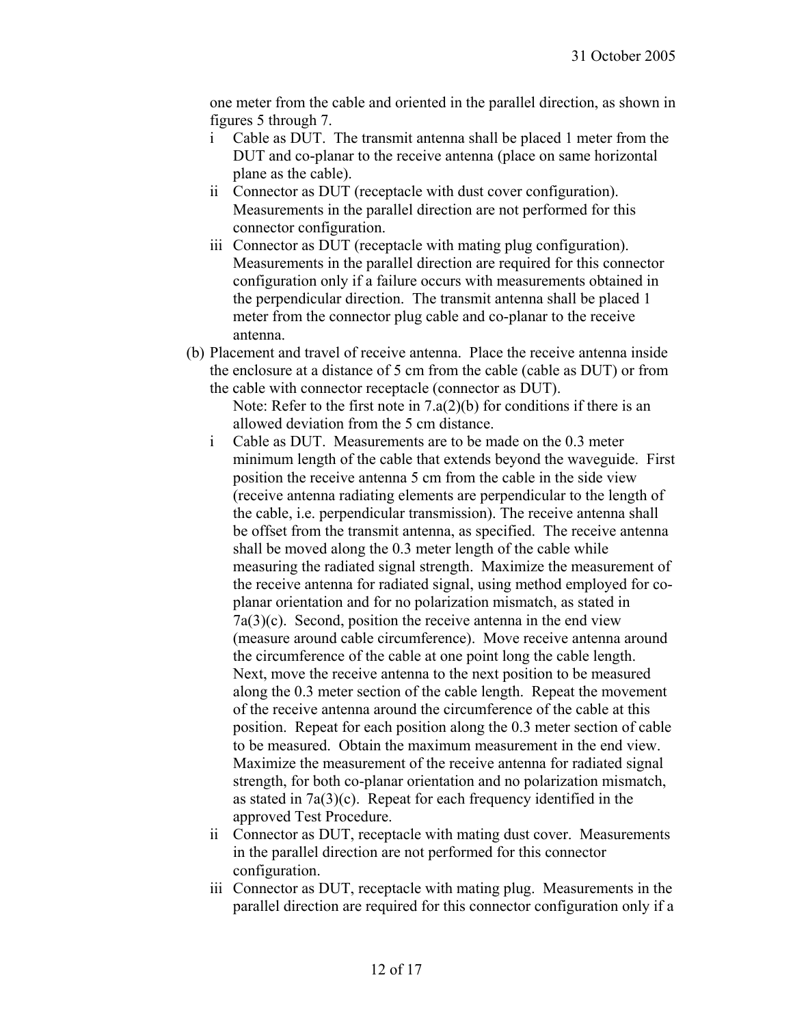one meter from the cable and oriented in the parallel direction, as shown in figures 5 through 7.

- i Cable as DUT. The transmit antenna shall be placed 1 meter from the DUT and co-planar to the receive antenna (place on same horizontal plane as the cable).
- ii Connector as DUT (receptacle with dust cover configuration). Measurements in the parallel direction are not performed for this connector configuration.
- iii Connector as DUT (receptacle with mating plug configuration). Measurements in the parallel direction are required for this connector configuration only if a failure occurs with measurements obtained in the perpendicular direction. The transmit antenna shall be placed 1 meter from the connector plug cable and co-planar to the receive antenna.
- (b) Placement and travel of receive antenna. Place the receive antenna inside the enclosure at a distance of 5 cm from the cable (cable as DUT) or from the cable with connector receptacle (connector as DUT).

Note: Refer to the first note in  $7.a(2)(b)$  for conditions if there is an allowed deviation from the 5 cm distance.

- i Cable as DUT. Measurements are to be made on the 0.3 meter minimum length of the cable that extends beyond the waveguide. First position the receive antenna 5 cm from the cable in the side view (receive antenna radiating elements are perpendicular to the length of the cable, i.e. perpendicular transmission). The receive antenna shall be offset from the transmit antenna, as specified. The receive antenna shall be moved along the 0.3 meter length of the cable while measuring the radiated signal strength. Maximize the measurement of the receive antenna for radiated signal, using method employed for coplanar orientation and for no polarization mismatch, as stated in 7a(3)(c). Second, position the receive antenna in the end view (measure around cable circumference). Move receive antenna around the circumference of the cable at one point long the cable length. Next, move the receive antenna to the next position to be measured along the 0.3 meter section of the cable length. Repeat the movement of the receive antenna around the circumference of the cable at this position. Repeat for each position along the 0.3 meter section of cable to be measured. Obtain the maximum measurement in the end view. Maximize the measurement of the receive antenna for radiated signal strength, for both co-planar orientation and no polarization mismatch, as stated in 7a(3)(c). Repeat for each frequency identified in the approved Test Procedure.
- ii Connector as DUT, receptacle with mating dust cover. Measurements in the parallel direction are not performed for this connector configuration.
- iii Connector as DUT, receptacle with mating plug. Measurements in the parallel direction are required for this connector configuration only if a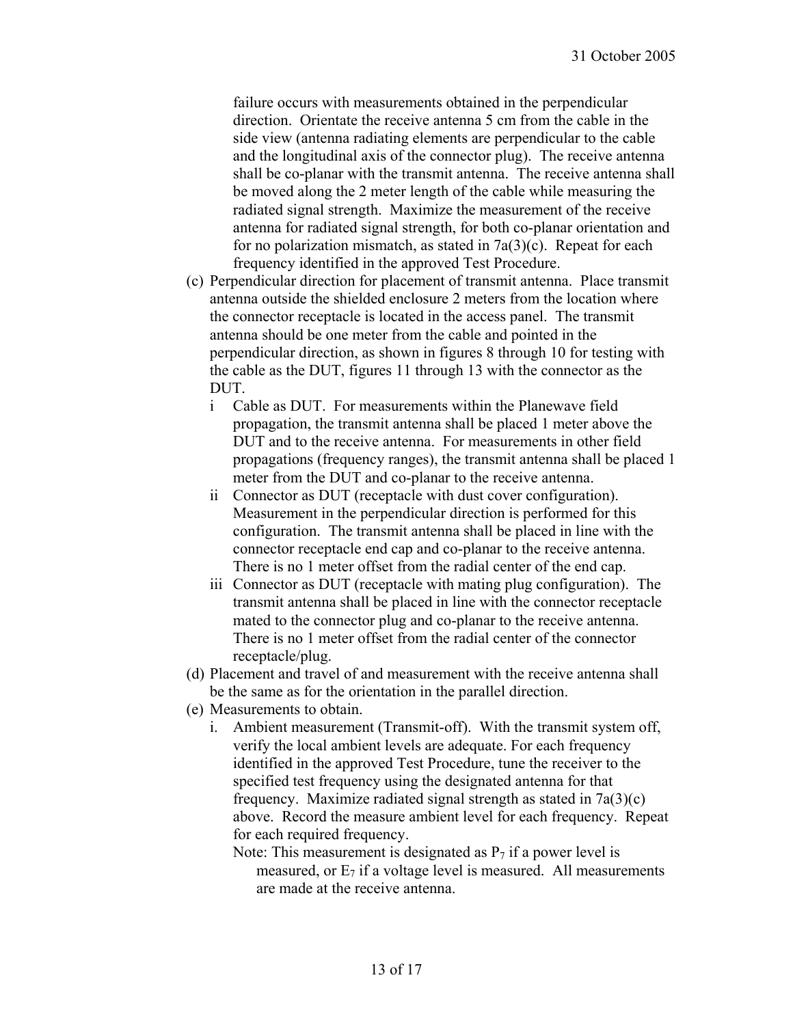failure occurs with measurements obtained in the perpendicular direction. Orientate the receive antenna 5 cm from the cable in the side view (antenna radiating elements are perpendicular to the cable and the longitudinal axis of the connector plug). The receive antenna shall be co-planar with the transmit antenna. The receive antenna shall be moved along the 2 meter length of the cable while measuring the radiated signal strength. Maximize the measurement of the receive antenna for radiated signal strength, for both co-planar orientation and for no polarization mismatch, as stated in  $7a(3)(c)$ . Repeat for each frequency identified in the approved Test Procedure.

- (c) Perpendicular direction for placement of transmit antenna. Place transmit antenna outside the shielded enclosure 2 meters from the location where the connector receptacle is located in the access panel. The transmit antenna should be one meter from the cable and pointed in the perpendicular direction, as shown in figures 8 through 10 for testing with the cable as the DUT, figures 11 through 13 with the connector as the DUT.
	- i Cable as DUT. For measurements within the Planewave field propagation, the transmit antenna shall be placed 1 meter above the DUT and to the receive antenna. For measurements in other field propagations (frequency ranges), the transmit antenna shall be placed 1 meter from the DUT and co-planar to the receive antenna.
	- ii Connector as DUT (receptacle with dust cover configuration). Measurement in the perpendicular direction is performed for this configuration. The transmit antenna shall be placed in line with the connector receptacle end cap and co-planar to the receive antenna. There is no 1 meter offset from the radial center of the end cap.
	- iii Connector as DUT (receptacle with mating plug configuration). The transmit antenna shall be placed in line with the connector receptacle mated to the connector plug and co-planar to the receive antenna. There is no 1 meter offset from the radial center of the connector receptacle/plug.
- (d) Placement and travel of and measurement with the receive antenna shall be the same as for the orientation in the parallel direction.
- (e) Measurements to obtain.
	- i. Ambient measurement (Transmit-off). With the transmit system off, verify the local ambient levels are adequate. For each frequency identified in the approved Test Procedure, tune the receiver to the specified test frequency using the designated antenna for that frequency. Maximize radiated signal strength as stated in  $7a(3)(c)$ above. Record the measure ambient level for each frequency. Repeat for each required frequency.
		- Note: This measurement is designated as  $P_7$  if a power level is measured, or  $E_7$  if a voltage level is measured. All measurements are made at the receive antenna.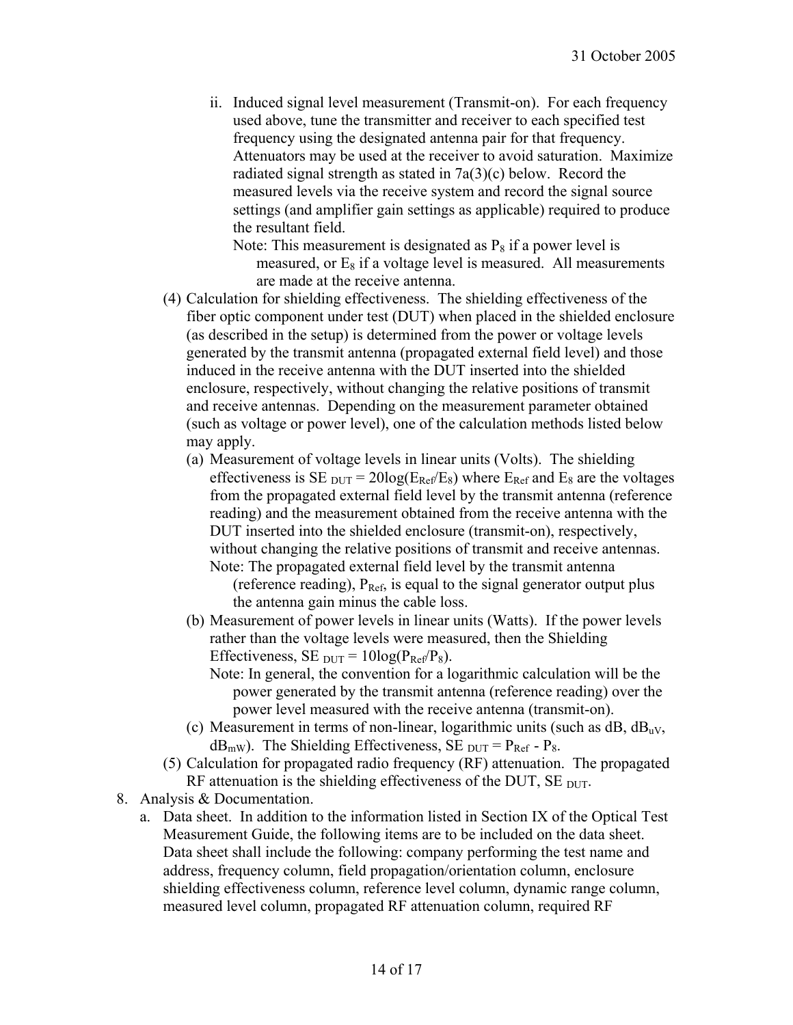ii. Induced signal level measurement (Transmit-on). For each frequency used above, tune the transmitter and receiver to each specified test frequency using the designated antenna pair for that frequency. Attenuators may be used at the receiver to avoid saturation. Maximize radiated signal strength as stated in 7a(3)(c) below. Record the measured levels via the receive system and record the signal source settings (and amplifier gain settings as applicable) required to produce the resultant field.

Note: This measurement is designated as  $P_8$  if a power level is measured, or  $E_8$  if a voltage level is measured. All measurements are made at the receive antenna.

- (4) Calculation for shielding effectiveness. The shielding effectiveness of the fiber optic component under test (DUT) when placed in the shielded enclosure (as described in the setup) is determined from the power or voltage levels generated by the transmit antenna (propagated external field level) and those induced in the receive antenna with the DUT inserted into the shielded enclosure, respectively, without changing the relative positions of transmit and receive antennas. Depending on the measurement parameter obtained (such as voltage or power level), one of the calculation methods listed below may apply.
	- (a) Measurement of voltage levels in linear units (Volts). The shielding effectiveness is SE  $_{\text{DUT}}$  = 20log( $E_{\text{Ref}}/E_8$ ) where  $E_{\text{Ref}}$  and  $E_8$  are the voltages from the propagated external field level by the transmit antenna (reference reading) and the measurement obtained from the receive antenna with the DUT inserted into the shielded enclosure (transmit-on), respectively, without changing the relative positions of transmit and receive antennas. Note: The propagated external field level by the transmit antenna

(reference reading),  $P_{Ref}$ , is equal to the signal generator output plus the antenna gain minus the cable loss.

- (b) Measurement of power levels in linear units (Watts). If the power levels rather than the voltage levels were measured, then the Shielding Effectiveness, SE  $_{\text{DUT}} = 10\log(P_{\text{Ref}}/P_8)$ .
	- Note: In general, the convention for a logarithmic calculation will be the power generated by the transmit antenna (reference reading) over the power level measured with the receive antenna (transmit-on).
- (c) Measurement in terms of non-linear, logarithmic units (such as  $dB$ ,  $dB_{uv}$ ,  $dB<sub>mW</sub>$ ). The Shielding Effectiveness, SE <sub>DUT</sub> = P<sub>Ref</sub> - P<sub>8</sub>.
- (5) Calculation for propagated radio frequency (RF) attenuation. The propagated RF attenuation is the shielding effectiveness of the DUT,  $SE$   $_{DUT}$ .
- 8. Analysis & Documentation.
	- a. Data sheet. In addition to the information listed in Section IX of the Optical Test Measurement Guide, the following items are to be included on the data sheet. Data sheet shall include the following: company performing the test name and address, frequency column, field propagation/orientation column, enclosure shielding effectiveness column, reference level column, dynamic range column, measured level column, propagated RF attenuation column, required RF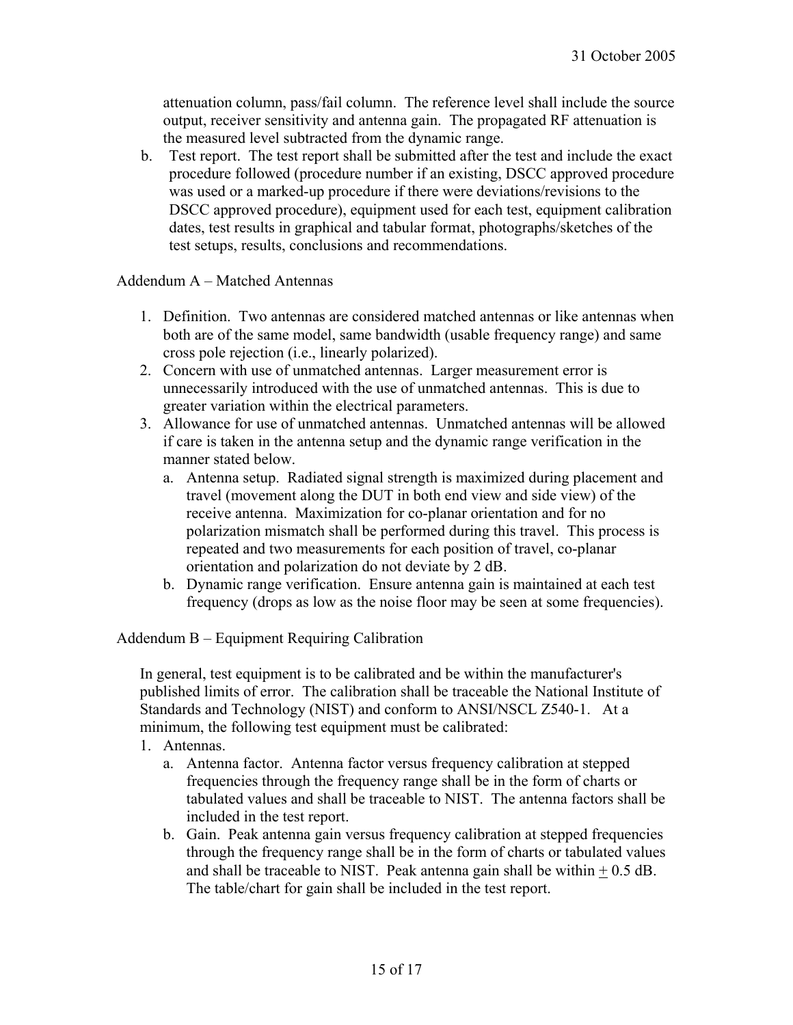attenuation column, pass/fail column. The reference level shall include the source output, receiver sensitivity and antenna gain. The propagated RF attenuation is the measured level subtracted from the dynamic range.

b. Test report. The test report shall be submitted after the test and include the exact procedure followed (procedure number if an existing, DSCC approved procedure was used or a marked-up procedure if there were deviations/revisions to the DSCC approved procedure), equipment used for each test, equipment calibration dates, test results in graphical and tabular format, photographs/sketches of the test setups, results, conclusions and recommendations.

Addendum A – Matched Antennas

- 1. Definition. Two antennas are considered matched antennas or like antennas when both are of the same model, same bandwidth (usable frequency range) and same cross pole rejection (i.e., linearly polarized).
- 2. Concern with use of unmatched antennas. Larger measurement error is unnecessarily introduced with the use of unmatched antennas. This is due to greater variation within the electrical parameters.
- 3. Allowance for use of unmatched antennas. Unmatched antennas will be allowed if care is taken in the antenna setup and the dynamic range verification in the manner stated below.
	- a. Antenna setup. Radiated signal strength is maximized during placement and travel (movement along the DUT in both end view and side view) of the receive antenna. Maximization for co-planar orientation and for no polarization mismatch shall be performed during this travel. This process is repeated and two measurements for each position of travel, co-planar orientation and polarization do not deviate by 2 dB.
	- b. Dynamic range verification. Ensure antenna gain is maintained at each test frequency (drops as low as the noise floor may be seen at some frequencies).

Addendum B – Equipment Requiring Calibration

In general, test equipment is to be calibrated and be within the manufacturer's published limits of error. The calibration shall be traceable the National Institute of Standards and Technology (NIST) and conform to ANSI/NSCL Z540-1. At a minimum, the following test equipment must be calibrated:

- 1. Antennas.
	- a. Antenna factor. Antenna factor versus frequency calibration at stepped frequencies through the frequency range shall be in the form of charts or tabulated values and shall be traceable to NIST. The antenna factors shall be included in the test report.
	- b. Gain. Peak antenna gain versus frequency calibration at stepped frequencies through the frequency range shall be in the form of charts or tabulated values and shall be traceable to NIST. Peak antenna gain shall be within  $+ 0.5$  dB. The table/chart for gain shall be included in the test report.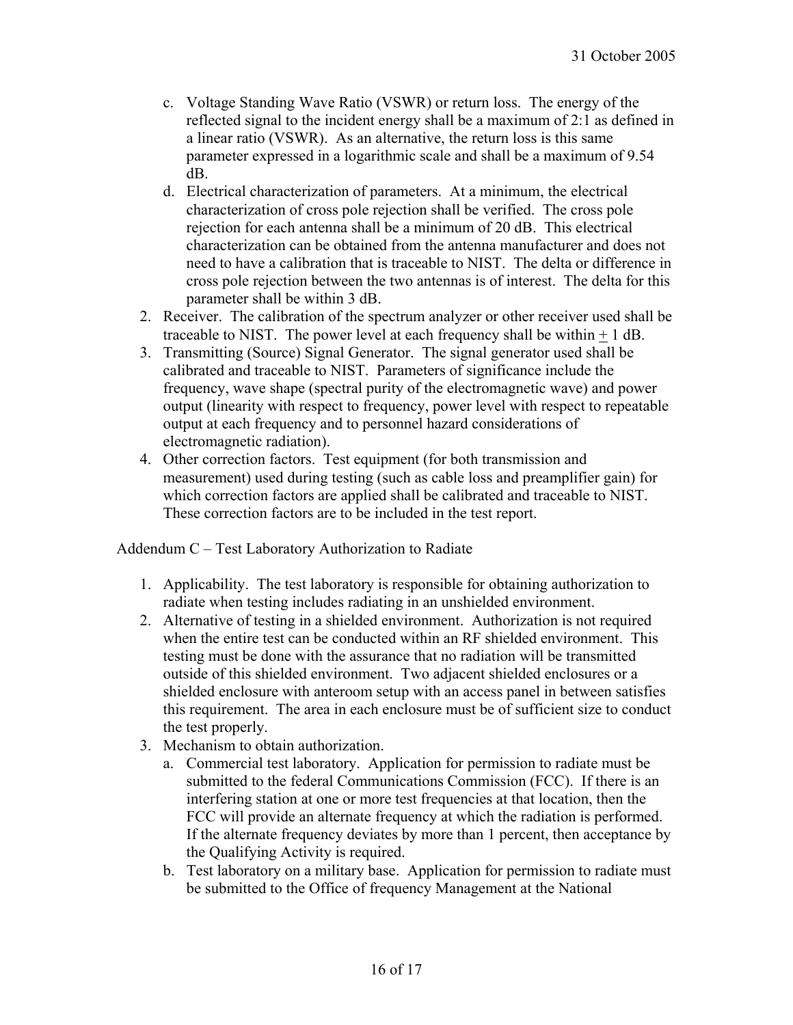- c. Voltage Standing Wave Ratio (VSWR) or return loss. The energy of the reflected signal to the incident energy shall be a maximum of 2:1 as defined in a linear ratio (VSWR). As an alternative, the return loss is this same parameter expressed in a logarithmic scale and shall be a maximum of 9.54 dB.
- d. Electrical characterization of parameters. At a minimum, the electrical characterization of cross pole rejection shall be verified. The cross pole rejection for each antenna shall be a minimum of 20 dB. This electrical characterization can be obtained from the antenna manufacturer and does not need to have a calibration that is traceable to NIST. The delta or difference in cross pole rejection between the two antennas is of interest. The delta for this parameter shall be within 3 dB.
- 2. Receiver. The calibration of the spectrum analyzer or other receiver used shall be traceable to NIST. The power level at each frequency shall be within  $+ 1$  dB.
- 3. Transmitting (Source) Signal Generator. The signal generator used shall be calibrated and traceable to NIST. Parameters of significance include the frequency, wave shape (spectral purity of the electromagnetic wave) and power output (linearity with respect to frequency, power level with respect to repeatable output at each frequency and to personnel hazard considerations of electromagnetic radiation).
- 4. Other correction factors. Test equipment (for both transmission and measurement) used during testing (such as cable loss and preamplifier gain) for which correction factors are applied shall be calibrated and traceable to NIST. These correction factors are to be included in the test report.

Addendum C – Test Laboratory Authorization to Radiate

- 1. Applicability. The test laboratory is responsible for obtaining authorization to radiate when testing includes radiating in an unshielded environment.
- 2. Alternative of testing in a shielded environment. Authorization is not required when the entire test can be conducted within an RF shielded environment. This testing must be done with the assurance that no radiation will be transmitted outside of this shielded environment. Two adjacent shielded enclosures or a shielded enclosure with anteroom setup with an access panel in between satisfies this requirement. The area in each enclosure must be of sufficient size to conduct the test properly.
- 3. Mechanism to obtain authorization.
	- a. Commercial test laboratory. Application for permission to radiate must be submitted to the federal Communications Commission (FCC). If there is an interfering station at one or more test frequencies at that location, then the FCC will provide an alternate frequency at which the radiation is performed. If the alternate frequency deviates by more than 1 percent, then acceptance by the Qualifying Activity is required.
	- b. Test laboratory on a military base. Application for permission to radiate must be submitted to the Office of frequency Management at the National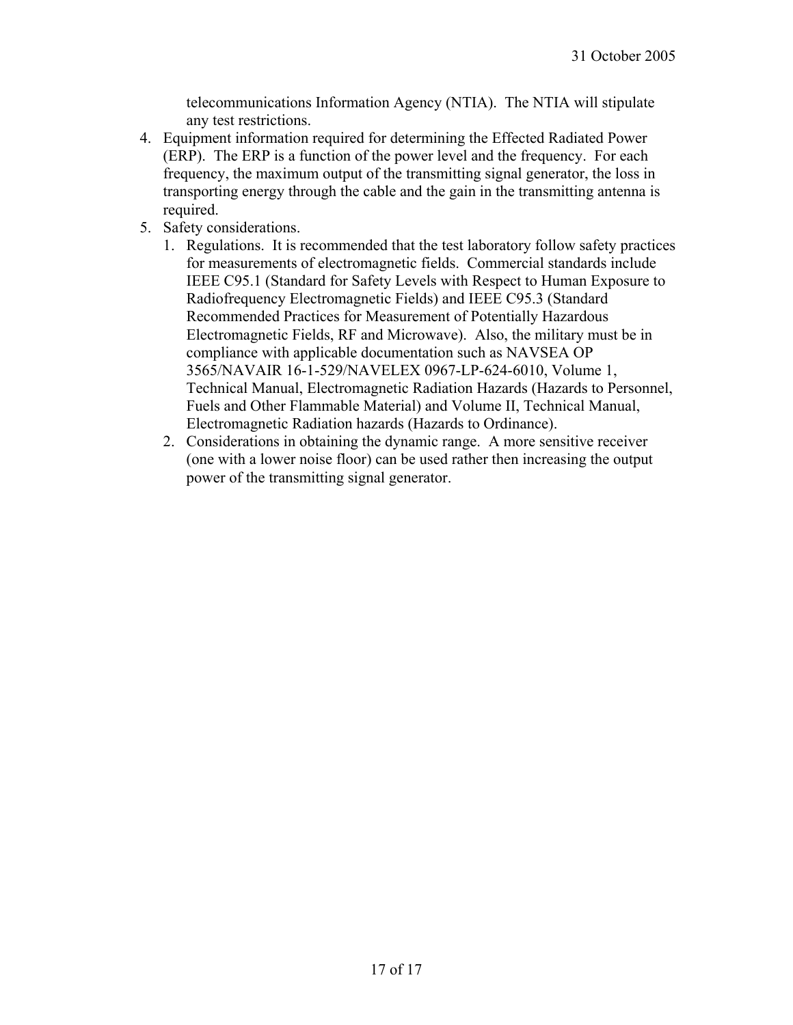telecommunications Information Agency (NTIA). The NTIA will stipulate any test restrictions.

- 4. Equipment information required for determining the Effected Radiated Power (ERP). The ERP is a function of the power level and the frequency. For each frequency, the maximum output of the transmitting signal generator, the loss in transporting energy through the cable and the gain in the transmitting antenna is required.
- 5. Safety considerations.
	- 1. Regulations. It is recommended that the test laboratory follow safety practices for measurements of electromagnetic fields. Commercial standards include IEEE C95.1 (Standard for Safety Levels with Respect to Human Exposure to Radiofrequency Electromagnetic Fields) and IEEE C95.3 (Standard Recommended Practices for Measurement of Potentially Hazardous Electromagnetic Fields, RF and Microwave). Also, the military must be in compliance with applicable documentation such as NAVSEA OP 3565/NAVAIR 16-1-529/NAVELEX 0967-LP-624-6010, Volume 1, Technical Manual, Electromagnetic Radiation Hazards (Hazards to Personnel, Fuels and Other Flammable Material) and Volume II, Technical Manual, Electromagnetic Radiation hazards (Hazards to Ordinance).
	- 2. Considerations in obtaining the dynamic range. A more sensitive receiver (one with a lower noise floor) can be used rather then increasing the output power of the transmitting signal generator.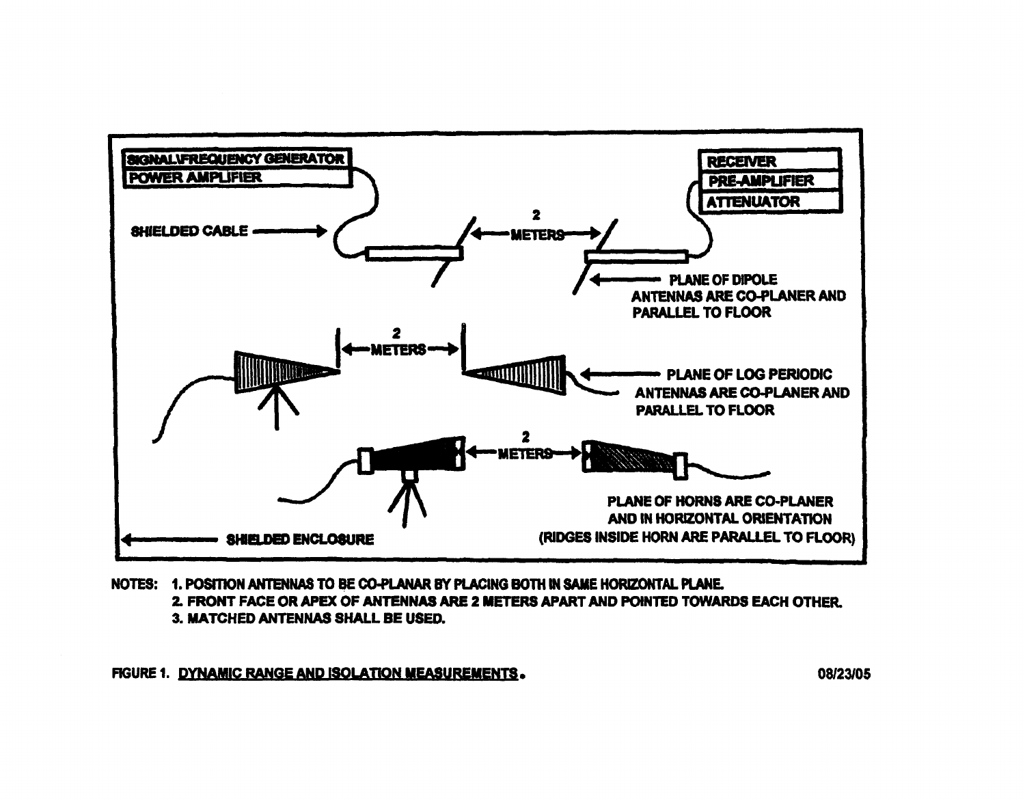

NOTES: 1. POSITION ANTENNAS TO BE CO-PLANAR BY PLACING BOTH IN SAME HORIZONTAL PLANE. 2. FRONT FACE OR APEX OF ANTENNAS ARE 2 METERS APART AND POINTED TOWARDS EACH OTHER. 3. MATCHED ANTENNAS SHALL BE USED.

FIGURE 1. DYNAMIC RANGE AND ISOLATION MEASUREMENTS.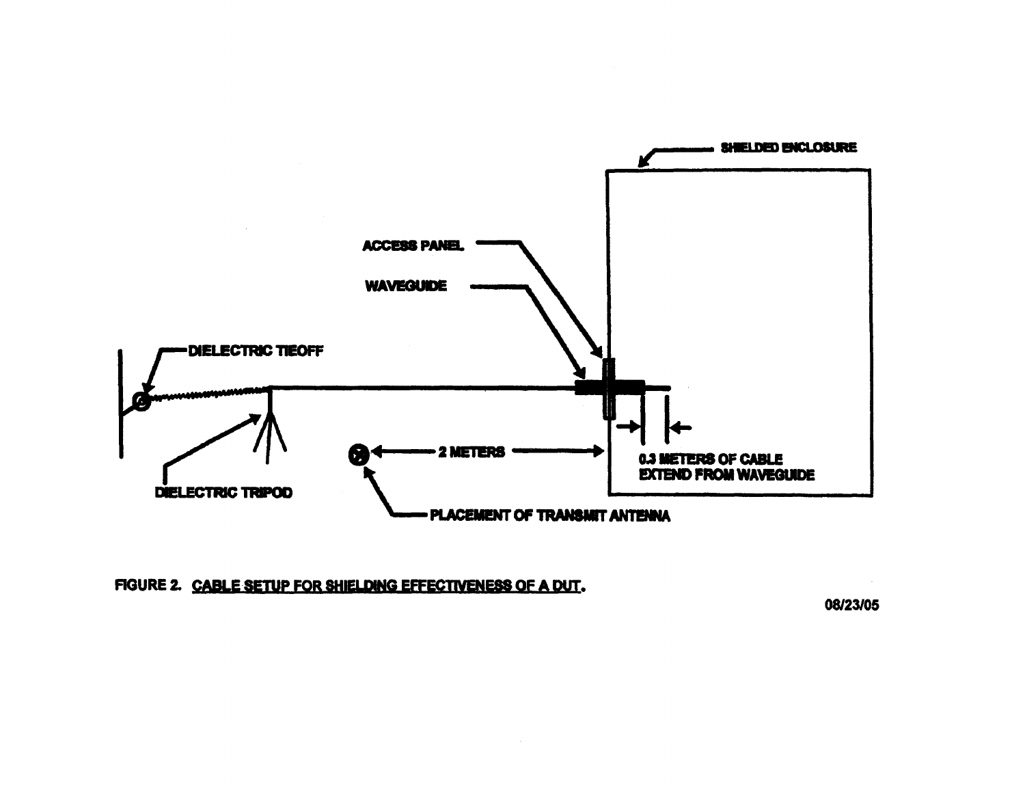

FIGURE 2. CABLE SETUP FOR SHIELDING EFFECTIVENESS OF A DUT.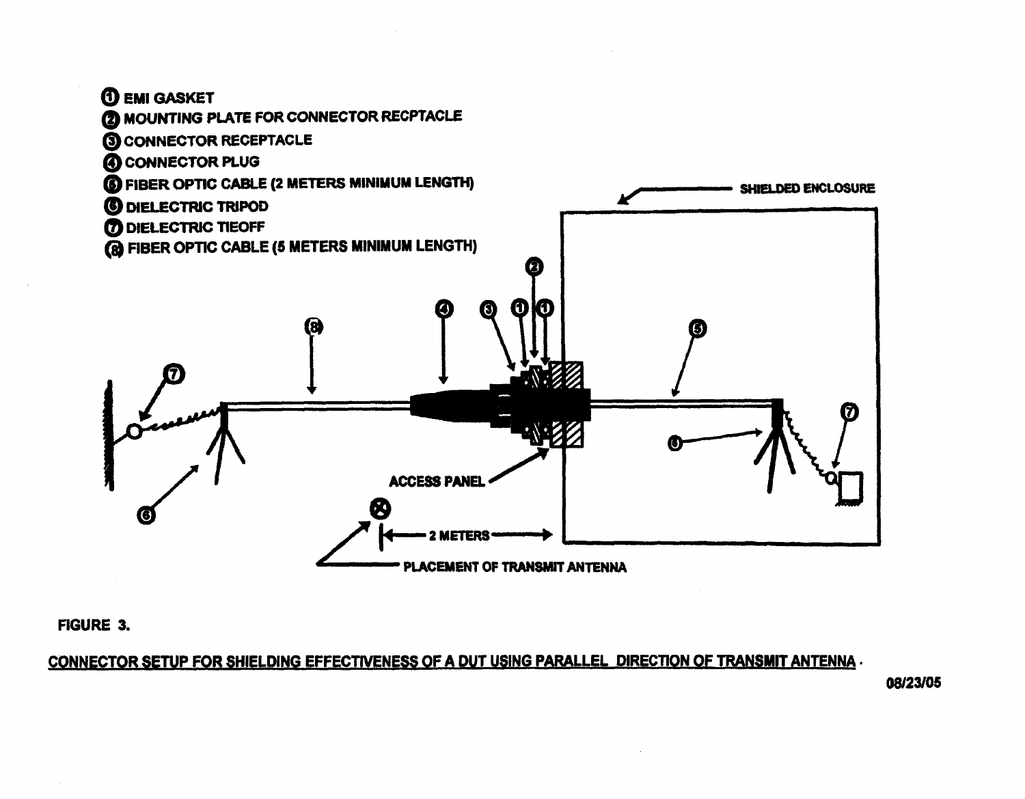

**FIGURE 3.** 

CONNECTOR SETUP FOR SHIELDING EFFECTIVENESS OF A DUT USING PARALLEL DIRECTION OF TRANSMIT ANTENNA.

PLACEMENT OF TRANSMIT ANTENNA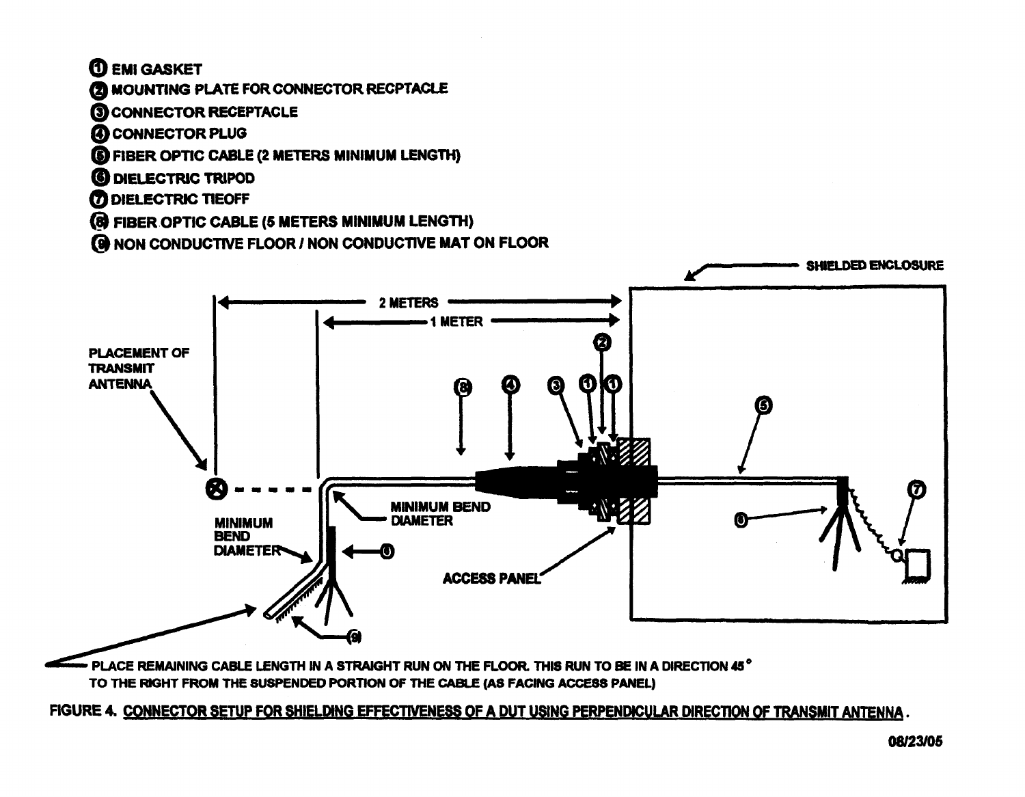**TO EMI GASKET** 

## 2 MOUNTING PLATE FOR CONNECTOR RECPTACLE

- **3 CONNECTOR RECEPTACLE**
- **4 CONNECTOR PLUG**
- **6 FIBER OPTIC CABLE (2 METERS MINIMUM LENGTH)**
- **6 DIELECTRIC TRIPOD**
- **7 DIELECTRIC TIEOFF**
- **(8) FIBER OPTIC CABLE (5 METERS MINIMUM LENGTH)**
- **69 NON CONDUCTIVE FLOOR / NON CONDUCTIVE MAT ON FLOOR**



PLACE REMAINING CABLE LENGTH IN A STRAIGHT RUN ON THE FLOOR. THIS RUN TO BE IN A DIRECTION 45° TO THE RIGHT FROM THE SUSPENDED PORTION OF THE CABLE (AS FACING ACCESS PANEL)

FIGURE 4. CONNECTOR SETUP FOR SHIELDING EFFECTIVENESS OF A DUT USING PERPENDICULAR DIRECTION OF TRANSMIT ANTENNA.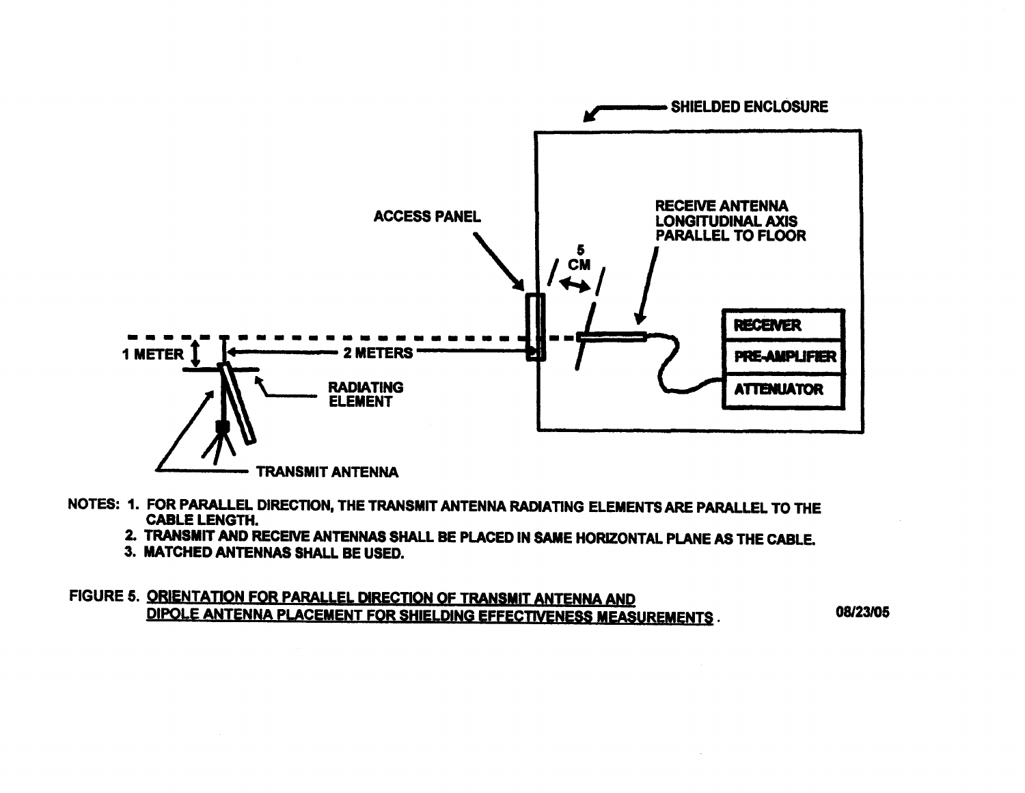

- NOTES: 1. FOR PARALLEL DIRECTION, THE TRANSMIT ANTENNA RADIATING ELEMENTS ARE PARALLEL TO THE **CABLE LENGTH.** 
	- 2. TRANSMIT AND RECEIVE ANTENNAS SHALL BE PLACED IN SAME HORIZONTAL PLANE AS THE CABLE.

- 3. MATCHED ANTENNAS SHALL BE USED.
- FIGURE 5. ORIENTATION FOR PARALLEL DIRECTION OF TRANSMIT ANTENNA AND DIPOLE ANTENNA PLACEMENT FOR SHIELDING EFFECTIVENESS MEASUREMENTS.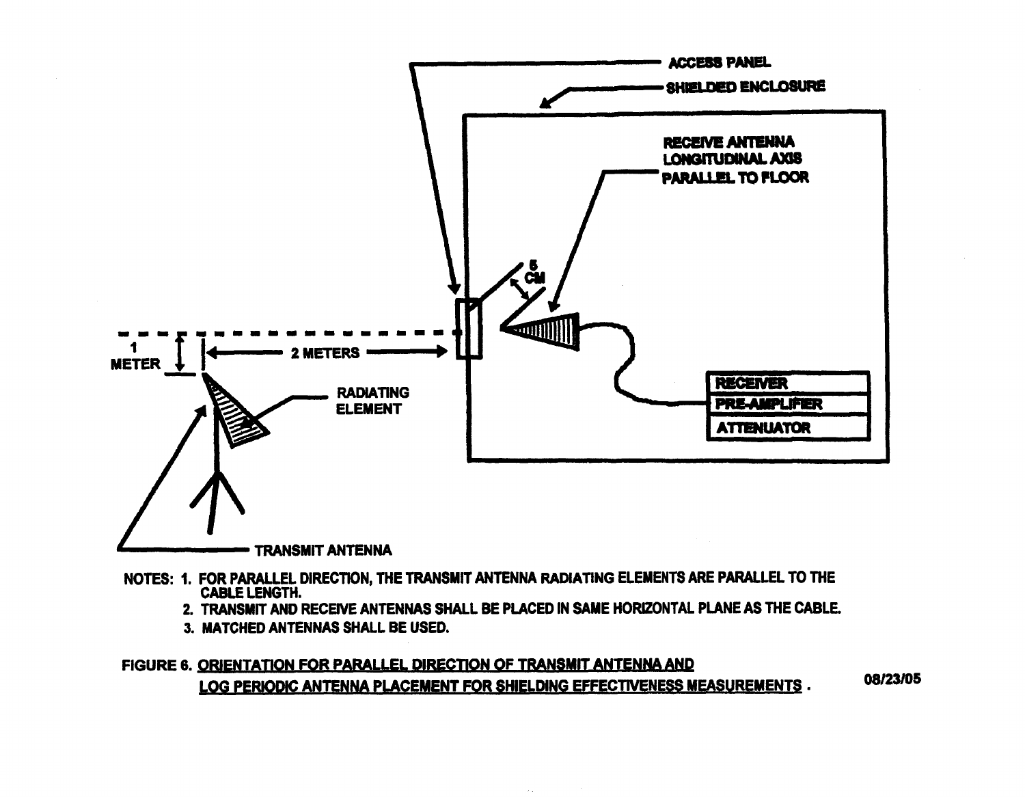

**- TRANSMIT ANTENNA** 

- NOTES: 1. FOR PARALLEL DIRECTION, THE TRANSMIT ANTENNA RADIATING ELEMENTS ARE PARALLEL TO THE **CABLE LENGTH.** 
	- 2. TRANSMIT AND RECEIVE ANTENNAS SHALL BE PLACED IN SAME HORIZONTAL PLANE AS THE CABLE.
	- 3. MATCHED ANTENNAS SHALL BE USED.

```
FIGURE 6. ORIENTATION FOR PARALLEL DIRECTION OF TRANSMIT ANTENNA AND
                                                                               08/23/05
LOG PERIODIC ANTENNA PLACEMENT FOR SHIELDING EFFECTIVENESS MEASUREMENTS.
```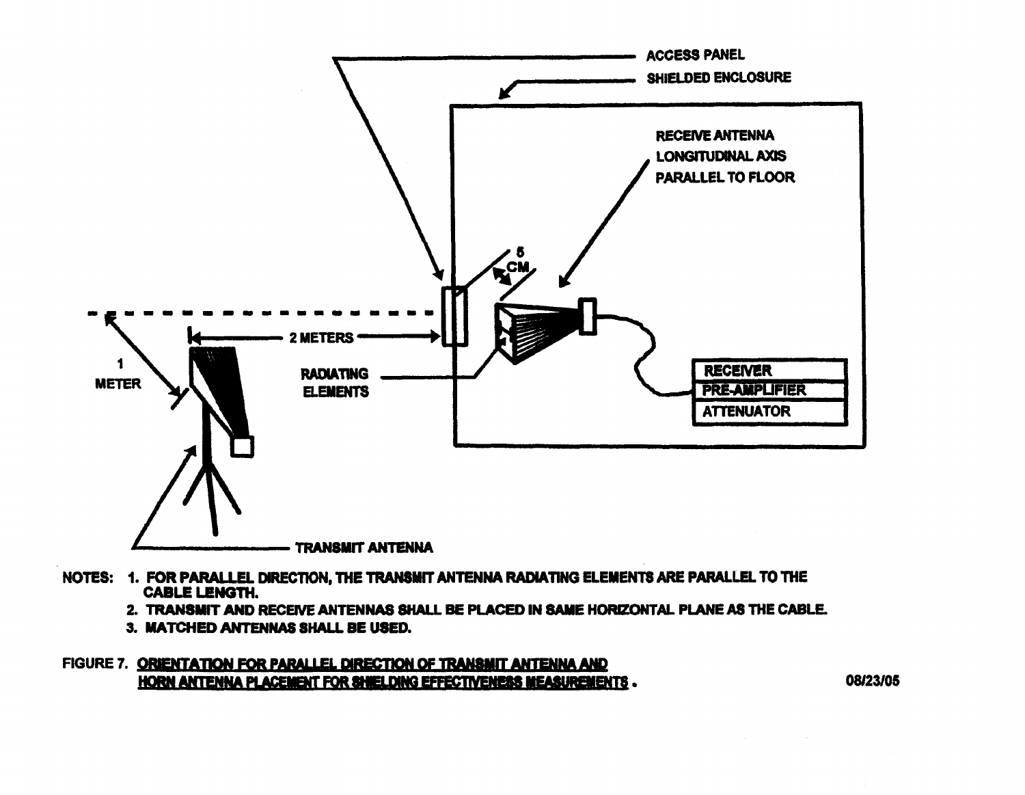

- NOTES: 1. FOR PARALLEL DIRECTION, THE TRANSMIT ANTENNA RADIATING ELEMENTS ARE PARALLEL TO THE **CABLE LENGTH.** 
	- 2. TRANSMIT AND RECEIVE ANTENNAS SHALL BE PLACED IN SAME HORIZONTAL PLANE AS THE CABLE.
	- 3. MATCHED ANTENNAS SHALL BE USED.

FIGURE 7. ORIENTATION FOR PARALLEL DIRECTION OF TRANSMIT ANTENNA AND HORN ANTENNA PLACEMENT FOR SHIELDING EFFECTIVENESS MEASUREMENTS.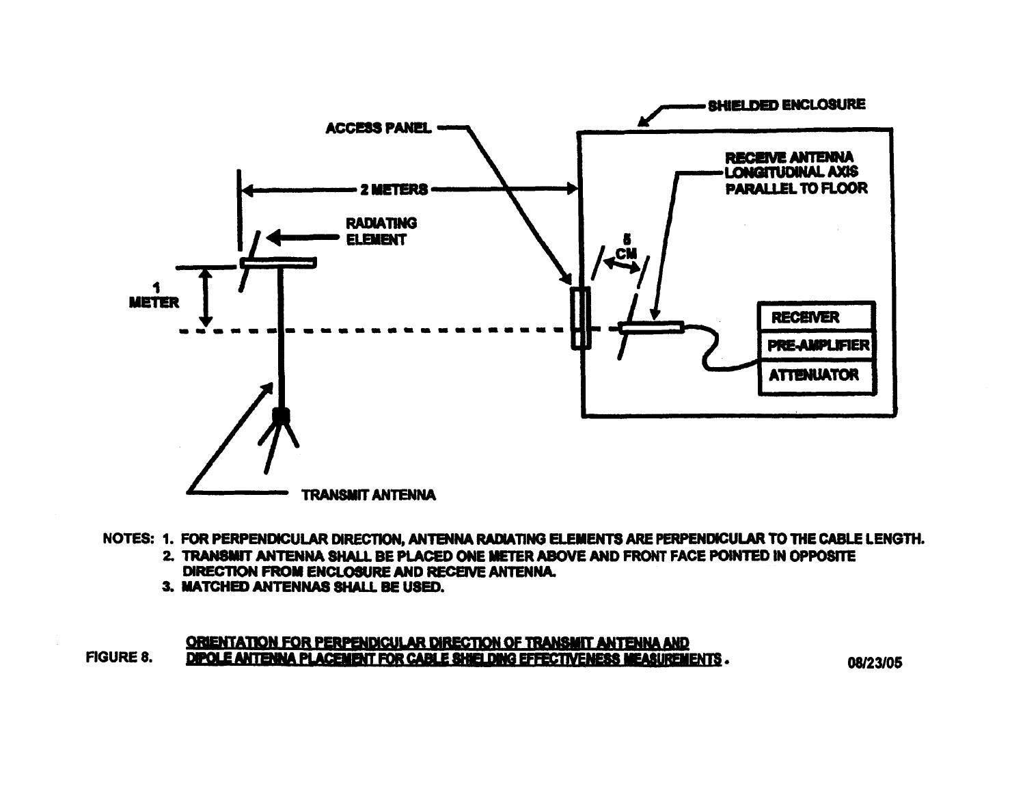

NOTES: 1. FOR PERPENDICULAR DIRECTION, ANTENNA RADIATING ELEMENTS ARE PERPENDICULAR TO THE CABLE LENGTH.

- 2. TRANSMIT ANTENNA SHALL BE PLACED ONE METER ABOVE AND FRONT FACE POINTED IN OPPOSITE DIRECTION FROM ENCLOSURE AND RECEIVE ANTENNA.
- 3. MATCHED ANTENNAS SHALL BE USED.

#### ORIENTATION FOR PERPENDICULAR DIRECTION OF TRANSMIT ANTENNA AND DIPOLE ANTENNA PLACEMENT FOR CABLE SHIELDING EFFECTIVENESS MEASUREMENTS. **FIGURE 8.**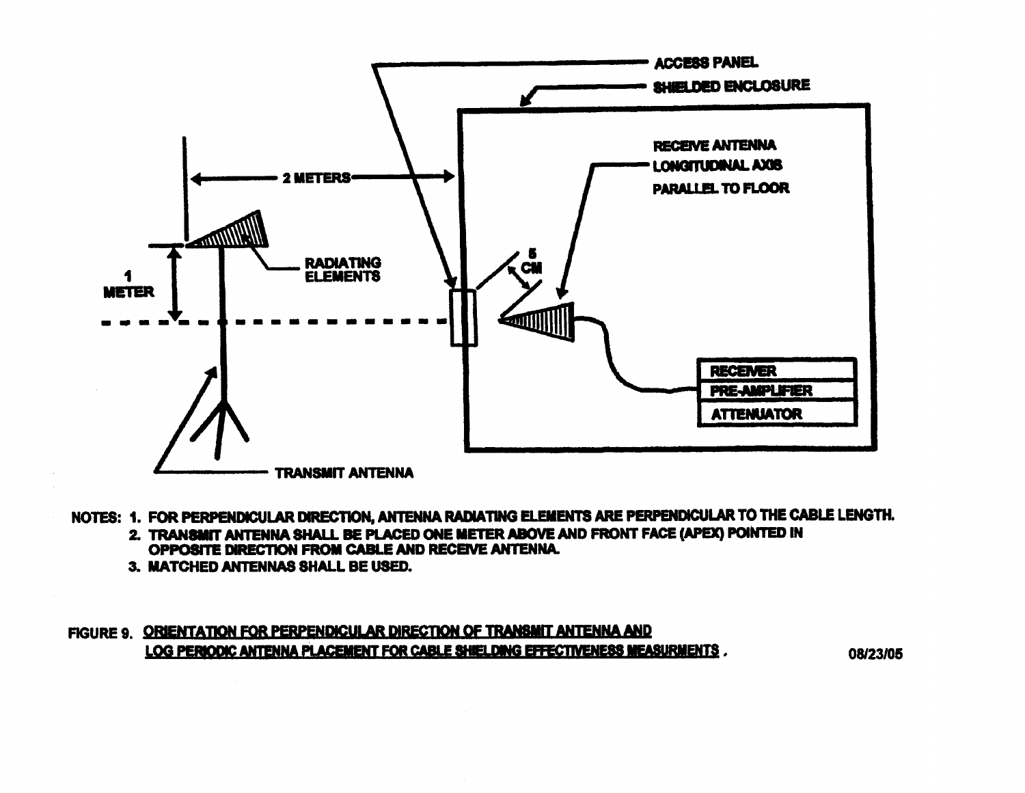

- NOTES: 1. FOR PERPENDICULAR DIRECTION, ANTENNA RADIATING ELEMENTS ARE PERPENDICULAR TO THE CABLE LENGTH.
	- 2. TRANSMIT ANTENNA SHALL BE PLACED ONE METER ABOVE AND FRONT FACE (APEX) POINTED IN OPPOSITE DIRECTION FROM CABLE AND RECEIVE ANTENNA.
	- 3. MATCHED ANTENNAS SHALL BE USED.

## FIGURE 9. ORIENTATION FOR PERPENDICULAR DIRECTION OF TRANSMIT ANTENNA AND LOG PERIODIC ANTENNA PLACEMENT FOR CABLE SHIELDING EFFECTIVENESS MEASURMENTS.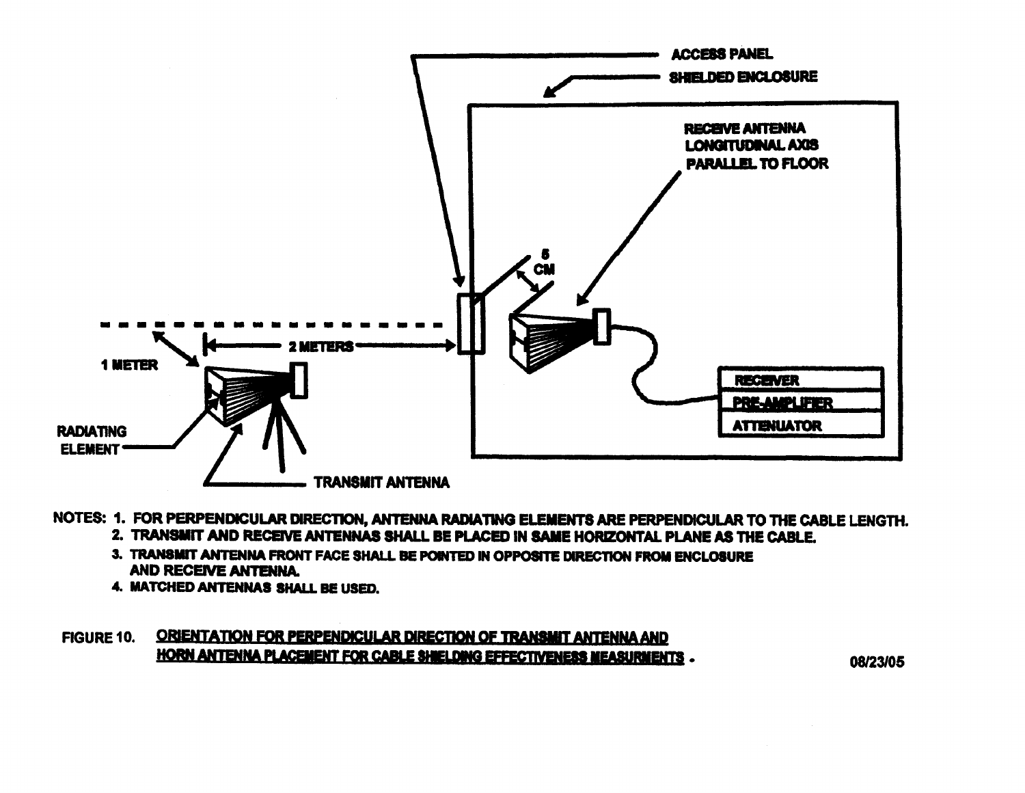

- NOTES: 1. FOR PERPENDICULAR DIRECTION, ANTENNA RADIATING ELEMENTS ARE PERPENDICULAR TO THE CABLE LENGTH. 2. TRANSMIT AND RECEIVE ANTENNAS SHALL BE PLACED IN SAME HORIZONTAL PLANE AS THE CABLE.
	-
	- 3. TRANSMIT ANTENNA FRONT FACE SHALL BE POINTED IN OPPOSITE DIRECTION FROM ENCLOSURE **AND RECEIVE ANTENNA.**
	- 4. MATCHED ANTENNAS SHALL BE USED.

## FIGURE 10. ORIENTATION FOR PERPENDICULAR DIRECTION OF TRANSMIT ANTENNA AND HORN ANTENNA PLACEMENT FOR CABLE SHIELDING EFFECTIVENESS MEASURMENTS.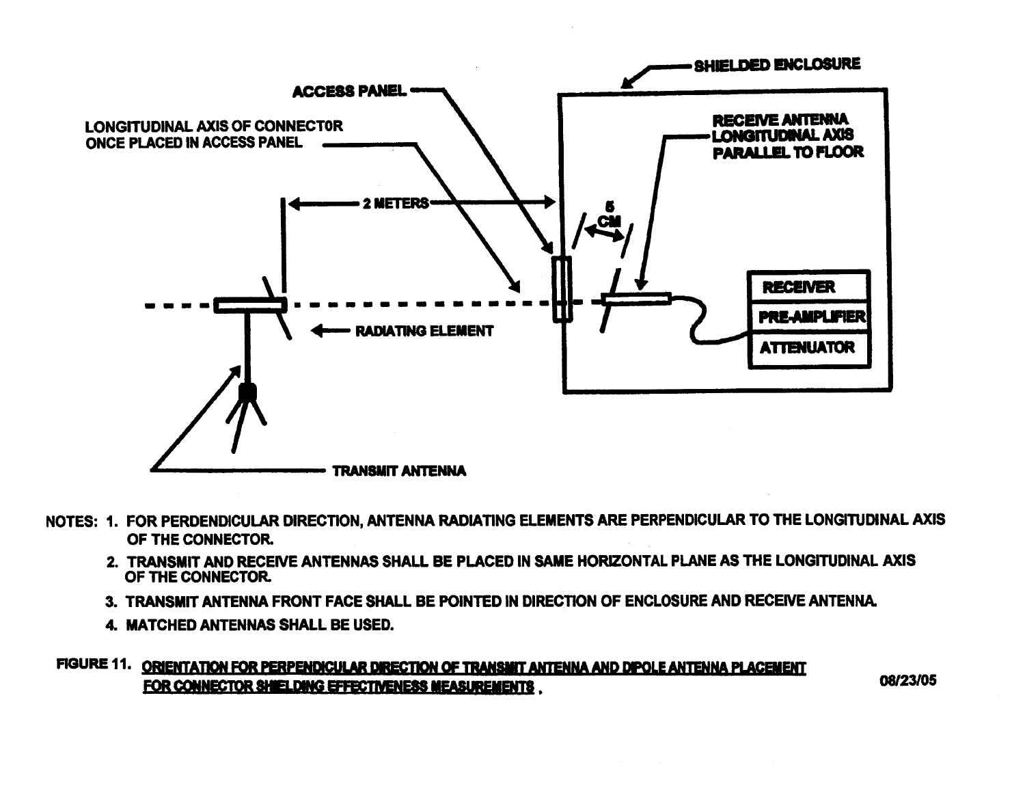

- NOTES: 1. FOR PERDENDICULAR DIRECTION, ANTENNA RADIATING ELEMENTS ARE PERPENDICULAR TO THE LONGITUDINAL AXIS OF THE CONNECTOR.
	- 2. TRANSMIT AND RECEIVE ANTENNAS SHALL BE PLACED IN SAME HORIZONTAL PLANE AS THE LONGITUDINAL AXIS OF THE CONNECTOR.
	- 3. TRANSMIT ANTENNA FRONT FACE SHALL BE POINTED IN DIRECTION OF ENCLOSURE AND RECEIVE ANTENNA.
	- 4. MATCHED ANTENNAS SHALL BE USED.

# FIGURE 11. ORIENTATION FOR PERPENDICULAR DIRECTION OF TRANSMIT ANTENNA AND DIPOLE ANTENNA PLACEMENT FOR CONNECTOR SHIELDING EFFECTIVENESS MEASUREMENTS.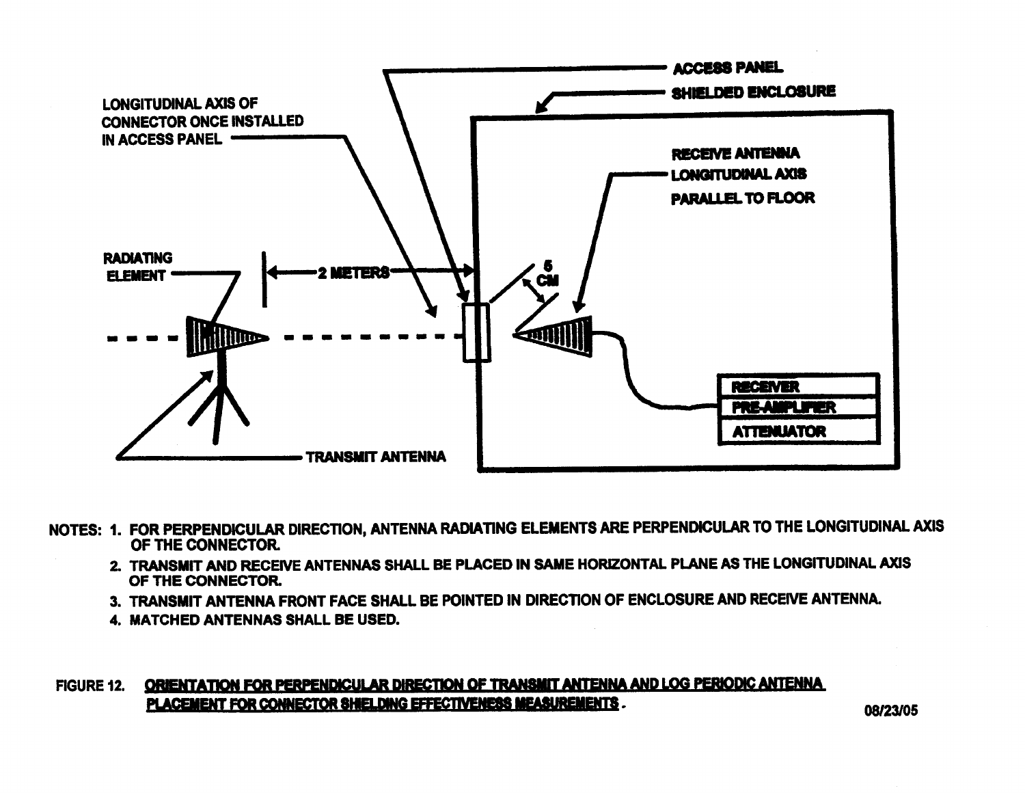

- NOTES: 1. FOR PERPENDICULAR DIRECTION, ANTENNA RADIATING ELEMENTS ARE PERPENDICULAR TO THE LONGITUDINAL AXIS OF THE CONNECTOR.
	- 2. TRANSMIT AND RECEIVE ANTENNAS SHALL BE PLACED IN SAME HORIZONTAL PLANE AS THE LONGITUDINAL AXIS OF THE CONNECTOR.
	- 3. TRANSMIT ANTENNA FRONT FACE SHALL BE POINTED IN DIRECTION OF ENCLOSURE AND RECEIVE ANTENNA.
	- 4. MATCHED ANTENNAS SHALL BE USED.

#### ORIENTATION FOR PERPENDICULAR DIRECTION OF TRANSMIT ANTENNA AND LOG PERIODIC ANTENNA **FIGURE 12.** PLACEMENT FOR CONNECTOR SHIELDING EFFECTIVENESS MEASUREMENTS.